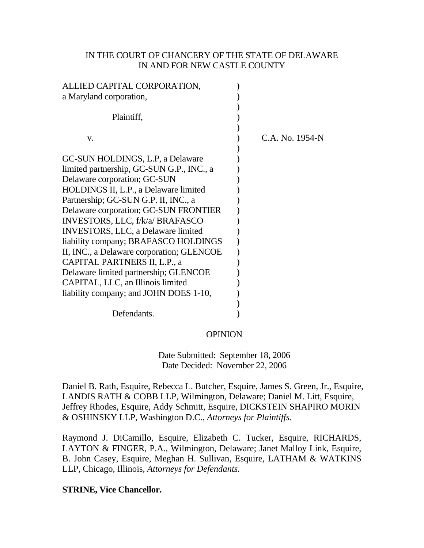## IN THE COURT OF CHANCERY OF THE STATE OF DELAWARE IN AND FOR NEW CASTLE COUNTY

| ALLIED CAPITAL CORPORATION,               |                 |
|-------------------------------------------|-----------------|
| a Maryland corporation,                   |                 |
| Plaintiff,                                |                 |
| V.                                        | C.A. No. 1954-N |
| GC-SUN HOLDINGS, L.P., a Delaware         |                 |
| limited partnership, GC-SUN G.P., INC., a |                 |
| Delaware corporation; GC-SUN              |                 |
| HOLDINGS II, L.P., a Delaware limited     |                 |
| Partnership; GC-SUN G.P. II, INC., a      |                 |
| Delaware corporation; GC-SUN FRONTIER     |                 |
| INVESTORS, LLC, f/k/a/ BRAFASCO           |                 |
| <b>INVESTORS, LLC, a Delaware limited</b> |                 |
| liability company; BRAFASCO HOLDINGS      |                 |
| II, INC., a Delaware corporation; GLENCOE |                 |
| CAPITAL PARTNERS II, L.P., a              |                 |
| Delaware limited partnership; GLENCOE     |                 |
| CAPITAL, LLC, an Illinois limited         |                 |
| liability company; and JOHN DOES 1-10,    |                 |
|                                           |                 |
| Defendants.                               |                 |

#### **OPINION**

 Date Submitted: September 18, 2006 Date Decided: November 22, 2006

Daniel B. Rath, Esquire, Rebecca L. Butcher, Esquire, James S. Green, Jr., Esquire, LANDIS RATH & COBB LLP, Wilmington, Delaware; Daniel M. Litt, Esquire, Jeffrey Rhodes, Esquire, Addy Schmitt, Esquire, DICKSTEIN SHAPIRO MORIN & OSHINSKY LLP, Washington D.C., *Attorneys for Plaintiffs.* 

Raymond J. DiCamillo, Esquire, Elizabeth C. Tucker, Esquire, RICHARDS, LAYTON & FINGER, P.A., Wilmington, Delaware; Janet Malloy Link, Esquire, B. John Casey, Esquire, Meghan H. Sullivan, Esquire, LATHAM & WATKINS LLP, Chicago, Illinois, *Attorneys for Defendants.*

**STRINE, Vice Chancellor.**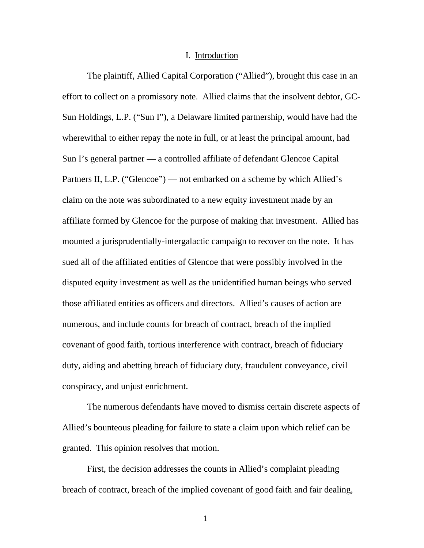#### I. Introduction

The plaintiff, Allied Capital Corporation ("Allied"), brought this case in an effort to collect on a promissory note. Allied claims that the insolvent debtor, GC-Sun Holdings, L.P. ("Sun I"), a Delaware limited partnership, would have had the wherewithal to either repay the note in full, or at least the principal amount, had Sun I's general partner — a controlled affiliate of defendant Glencoe Capital Partners II, L.P. ("Glencoe") — not embarked on a scheme by which Allied's claim on the note was subordinated to a new equity investment made by an affiliate formed by Glencoe for the purpose of making that investment. Allied has mounted a jurisprudentially-intergalactic campaign to recover on the note. It has sued all of the affiliated entities of Glencoe that were possibly involved in the disputed equity investment as well as the unidentified human beings who served those affiliated entities as officers and directors. Allied's causes of action are numerous, and include counts for breach of contract, breach of the implied covenant of good faith, tortious interference with contract, breach of fiduciary duty, aiding and abetting breach of fiduciary duty, fraudulent conveyance, civil conspiracy, and unjust enrichment.

The numerous defendants have moved to dismiss certain discrete aspects of Allied's bounteous pleading for failure to state a claim upon which relief can be granted. This opinion resolves that motion.

First, the decision addresses the counts in Allied's complaint pleading breach of contract, breach of the implied covenant of good faith and fair dealing,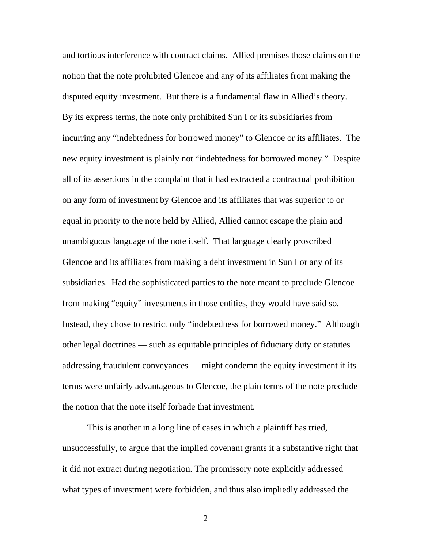and tortious interference with contract claims. Allied premises those claims on the notion that the note prohibited Glencoe and any of its affiliates from making the disputed equity investment. But there is a fundamental flaw in Allied's theory. By its express terms, the note only prohibited Sun I or its subsidiaries from incurring any "indebtedness for borrowed money" to Glencoe or its affiliates. The new equity investment is plainly not "indebtedness for borrowed money." Despite all of its assertions in the complaint that it had extracted a contractual prohibition on any form of investment by Glencoe and its affiliates that was superior to or equal in priority to the note held by Allied, Allied cannot escape the plain and unambiguous language of the note itself. That language clearly proscribed Glencoe and its affiliates from making a debt investment in Sun I or any of its subsidiaries. Had the sophisticated parties to the note meant to preclude Glencoe from making "equity" investments in those entities, they would have said so. Instead, they chose to restrict only "indebtedness for borrowed money." Although other legal doctrines — such as equitable principles of fiduciary duty or statutes addressing fraudulent conveyances — might condemn the equity investment if its terms were unfairly advantageous to Glencoe, the plain terms of the note preclude the notion that the note itself forbade that investment.

This is another in a long line of cases in which a plaintiff has tried, unsuccessfully, to argue that the implied covenant grants it a substantive right that it did not extract during negotiation. The promissory note explicitly addressed what types of investment were forbidden, and thus also impliedly addressed the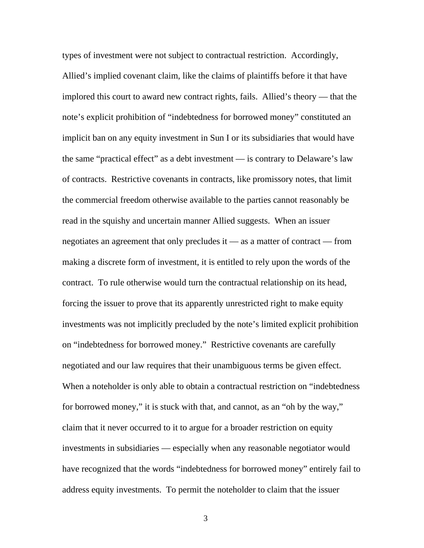types of investment were not subject to contractual restriction. Accordingly, Allied's implied covenant claim, like the claims of plaintiffs before it that have implored this court to award new contract rights, fails. Allied's theory — that the note's explicit prohibition of "indebtedness for borrowed money" constituted an implicit ban on any equity investment in Sun I or its subsidiaries that would have the same "practical effect" as a debt investment — is contrary to Delaware's law of contracts. Restrictive covenants in contracts, like promissory notes, that limit the commercial freedom otherwise available to the parties cannot reasonably be read in the squishy and uncertain manner Allied suggests. When an issuer negotiates an agreement that only precludes it — as a matter of contract — from making a discrete form of investment, it is entitled to rely upon the words of the contract. To rule otherwise would turn the contractual relationship on its head, forcing the issuer to prove that its apparently unrestricted right to make equity investments was not implicitly precluded by the note's limited explicit prohibition on "indebtedness for borrowed money." Restrictive covenants are carefully negotiated and our law requires that their unambiguous terms be given effect. When a noteholder is only able to obtain a contractual restriction on "indebtedness for borrowed money," it is stuck with that, and cannot, as an "oh by the way," claim that it never occurred to it to argue for a broader restriction on equity investments in subsidiaries — especially when any reasonable negotiator would have recognized that the words "indebtedness for borrowed money" entirely fail to address equity investments. To permit the noteholder to claim that the issuer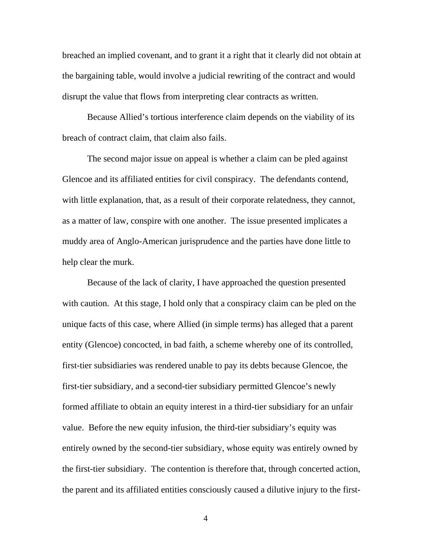breached an implied covenant, and to grant it a right that it clearly did not obtain at the bargaining table, would involve a judicial rewriting of the contract and would disrupt the value that flows from interpreting clear contracts as written.

Because Allied's tortious interference claim depends on the viability of its breach of contract claim, that claim also fails.

The second major issue on appeal is whether a claim can be pled against Glencoe and its affiliated entities for civil conspiracy. The defendants contend, with little explanation, that, as a result of their corporate relatedness, they cannot, as a matter of law, conspire with one another. The issue presented implicates a muddy area of Anglo-American jurisprudence and the parties have done little to help clear the murk.

Because of the lack of clarity, I have approached the question presented with caution. At this stage, I hold only that a conspiracy claim can be pled on the unique facts of this case, where Allied (in simple terms) has alleged that a parent entity (Glencoe) concocted, in bad faith, a scheme whereby one of its controlled, first-tier subsidiaries was rendered unable to pay its debts because Glencoe, the first-tier subsidiary, and a second-tier subsidiary permitted Glencoe's newly formed affiliate to obtain an equity interest in a third-tier subsidiary for an unfair value. Before the new equity infusion, the third-tier subsidiary's equity was entirely owned by the second-tier subsidiary, whose equity was entirely owned by the first-tier subsidiary. The contention is therefore that, through concerted action, the parent and its affiliated entities consciously caused a dilutive injury to the first-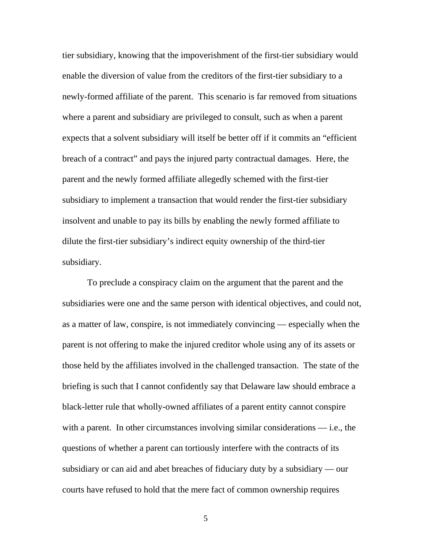tier subsidiary, knowing that the impoverishment of the first-tier subsidiary would enable the diversion of value from the creditors of the first-tier subsidiary to a newly-formed affiliate of the parent. This scenario is far removed from situations where a parent and subsidiary are privileged to consult, such as when a parent expects that a solvent subsidiary will itself be better off if it commits an "efficient breach of a contract" and pays the injured party contractual damages. Here, the parent and the newly formed affiliate allegedly schemed with the first-tier subsidiary to implement a transaction that would render the first-tier subsidiary insolvent and unable to pay its bills by enabling the newly formed affiliate to dilute the first-tier subsidiary's indirect equity ownership of the third-tier subsidiary.

To preclude a conspiracy claim on the argument that the parent and the subsidiaries were one and the same person with identical objectives, and could not, as a matter of law, conspire, is not immediately convincing — especially when the parent is not offering to make the injured creditor whole using any of its assets or those held by the affiliates involved in the challenged transaction. The state of the briefing is such that I cannot confidently say that Delaware law should embrace a black-letter rule that wholly-owned affiliates of a parent entity cannot conspire with a parent. In other circumstances involving similar considerations — i.e., the questions of whether a parent can tortiously interfere with the contracts of its subsidiary or can aid and abet breaches of fiduciary duty by a subsidiary — our courts have refused to hold that the mere fact of common ownership requires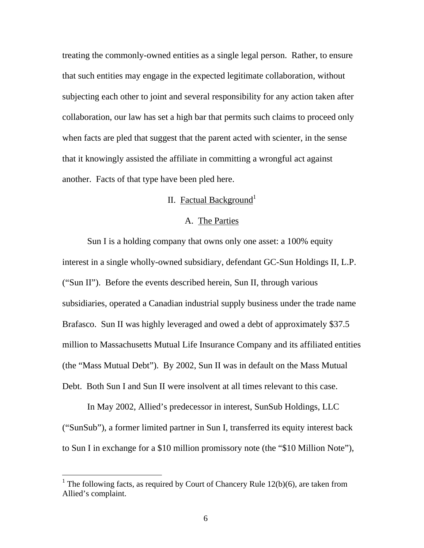treating the commonly-owned entities as a single legal person. Rather, to ensure that such entities may engage in the expected legitimate collaboration, without subjecting each other to joint and several responsibility for any action taken after collaboration, our law has set a high bar that permits such claims to proceed only when facts are pled that suggest that the parent acted with scienter, in the sense that it knowingly assisted the affiliate in committing a wrongful act against another. Facts of that type have been pled here.

# II. Factual Background<sup>1</sup>

## A. The Parties

Sun I is a holding company that owns only one asset: a 100% equity interest in a single wholly-owned subsidiary, defendant GC-Sun Holdings II, L.P. ("Sun II"). Before the events described herein, Sun II, through various subsidiaries, operated a Canadian industrial supply business under the trade name Brafasco. Sun II was highly leveraged and owed a debt of approximately \$37.5 million to Massachusetts Mutual Life Insurance Company and its affiliated entities (the "Mass Mutual Debt"). By 2002, Sun II was in default on the Mass Mutual Debt. Both Sun I and Sun II were insolvent at all times relevant to this case.

In May 2002, Allied's predecessor in interest, SunSub Holdings, LLC ("SunSub"), a former limited partner in Sun I, transferred its equity interest back to Sun I in exchange for a \$10 million promissory note (the "\$10 Million Note"),

<span id="page-6-0"></span><sup>&</sup>lt;sup>1</sup> The following facts, as required by Court of Chancery Rule  $12(b)(6)$ , are taken from Allied's complaint.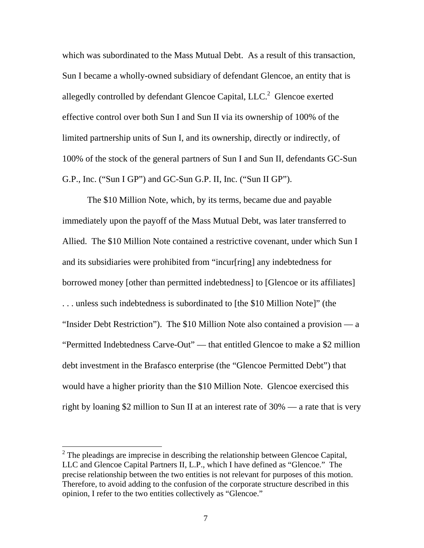which was subordinated to the Mass Mutual Debt. As a result of this transaction, Sun I became a wholly-owned subsidiary of defendant Glencoe, an entity that is allegedly controlled by defendant Glencoe Capital,  $LLC<sup>2</sup>$  $LLC<sup>2</sup>$  $LLC<sup>2</sup>$  Glencoe exerted effective control over both Sun I and Sun II via its ownership of 100% of the limited partnership units of Sun I, and its ownership, directly or indirectly, of 100% of the stock of the general partners of Sun I and Sun II, defendants GC-Sun G.P., Inc. ("Sun I GP") and GC-Sun G.P. II, Inc. ("Sun II GP").

The \$10 Million Note, which, by its terms, became due and payable immediately upon the payoff of the Mass Mutual Debt, was later transferred to Allied. The \$10 Million Note contained a restrictive covenant, under which Sun I and its subsidiaries were prohibited from "incur[ring] any indebtedness for borrowed money [other than permitted indebtedness] to [Glencoe or its affiliates] . . . unless such indebtedness is subordinated to [the \$10 Million Note]" (the "Insider Debt Restriction"). The \$10 Million Note also contained a provision — a "Permitted Indebtedness Carve-Out" — that entitled Glencoe to make a \$2 million debt investment in the Brafasco enterprise (the "Glencoe Permitted Debt") that would have a higher priority than the \$10 Million Note. Glencoe exercised this right by loaning \$2 million to Sun II at an interest rate of 30% — a rate that is very

<span id="page-7-0"></span><sup>&</sup>lt;sup>2</sup> The pleadings are imprecise in describing the relationship between Glencoe Capital, LLC and Glencoe Capital Partners II, L.P., which I have defined as "Glencoe." The precise relationship between the two entities is not relevant for purposes of this motion. Therefore, to avoid adding to the confusion of the corporate structure described in this opinion, I refer to the two entities collectively as "Glencoe."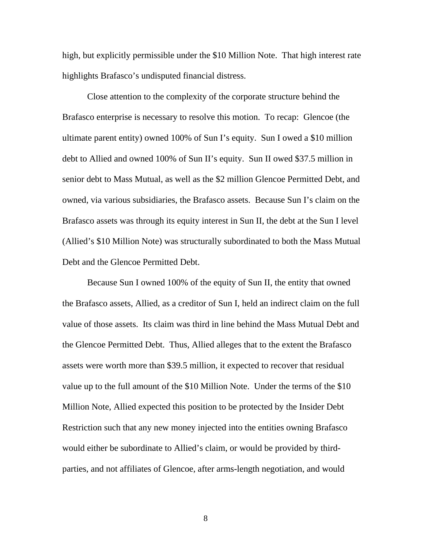high, but explicitly permissible under the \$10 Million Note. That high interest rate highlights Brafasco's undisputed financial distress.

Close attention to the complexity of the corporate structure behind the Brafasco enterprise is necessary to resolve this motion. To recap: Glencoe (the ultimate parent entity) owned 100% of Sun I's equity. Sun I owed a \$10 million debt to Allied and owned 100% of Sun II's equity. Sun II owed \$37.5 million in senior debt to Mass Mutual, as well as the \$2 million Glencoe Permitted Debt, and owned, via various subsidiaries, the Brafasco assets. Because Sun I's claim on the Brafasco assets was through its equity interest in Sun II, the debt at the Sun I level (Allied's \$10 Million Note) was structurally subordinated to both the Mass Mutual Debt and the Glencoe Permitted Debt.

Because Sun I owned 100% of the equity of Sun II, the entity that owned the Brafasco assets, Allied, as a creditor of Sun I, held an indirect claim on the full value of those assets. Its claim was third in line behind the Mass Mutual Debt and the Glencoe Permitted Debt. Thus, Allied alleges that to the extent the Brafasco assets were worth more than \$39.5 million, it expected to recover that residual value up to the full amount of the \$10 Million Note. Under the terms of the \$10 Million Note, Allied expected this position to be protected by the Insider Debt Restriction such that any new money injected into the entities owning Brafasco would either be subordinate to Allied's claim, or would be provided by thirdparties, and not affiliates of Glencoe, after arms-length negotiation, and would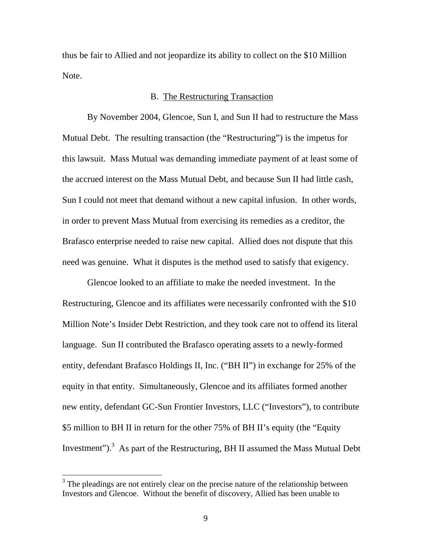thus be fair to Allied and not jeopardize its ability to collect on the \$10 Million Note.

#### B. The Restructuring Transaction

By November 2004, Glencoe, Sun I, and Sun II had to restructure the Mass Mutual Debt. The resulting transaction (the "Restructuring") is the impetus for this lawsuit. Mass Mutual was demanding immediate payment of at least some of the accrued interest on the Mass Mutual Debt, and because Sun II had little cash, Sun I could not meet that demand without a new capital infusion. In other words, in order to prevent Mass Mutual from exercising its remedies as a creditor, the Brafasco enterprise needed to raise new capital. Allied does not dispute that this need was genuine. What it disputes is the method used to satisfy that exigency.

Glencoe looked to an affiliate to make the needed investment. In the Restructuring, Glencoe and its affiliates were necessarily confronted with the \$10 Million Note's Insider Debt Restriction, and they took care not to offend its literal language. Sun II contributed the Brafasco operating assets to a newly-formed entity, defendant Brafasco Holdings II, Inc. ("BH II") in exchange for 25% of the equity in that entity. Simultaneously, Glencoe and its affiliates formed another new entity, defendant GC-Sun Frontier Investors, LLC ("Investors"), to contribute \$5 million to BH II in return for the other 75% of BH II's equity (the "Equity Investment").<sup>3</sup> As part of the Restructuring, BH II assumed the Mass Mutual Debt

<span id="page-9-0"></span> $3$  The pleadings are not entirely clear on the precise nature of the relationship between Investors and Glencoe. Without the benefit of discovery, Allied has been unable to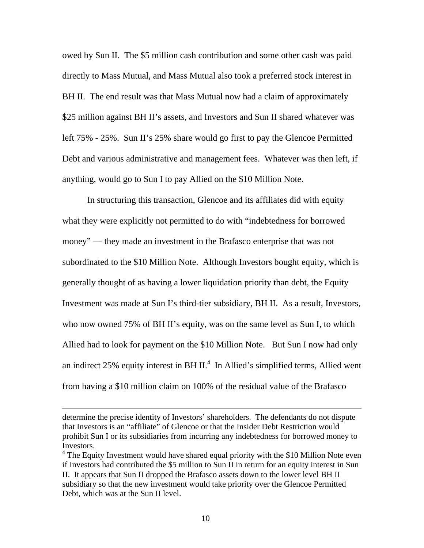owed by Sun II. The \$5 million cash contribution and some other cash was paid directly to Mass Mutual, and Mass Mutual also took a preferred stock interest in BH II. The end result was that Mass Mutual now had a claim of approximately \$25 million against BH II's assets, and Investors and Sun II shared whatever was left 75% - 25%. Sun II's 25% share would go first to pay the Glencoe Permitted Debt and various administrative and management fees. Whatever was then left, if anything, would go to Sun I to pay Allied on the \$10 Million Note.

In structuring this transaction, Glencoe and its affiliates did with equity what they were explicitly not permitted to do with "indebtedness for borrowed money" — they made an investment in the Brafasco enterprise that was not subordinated to the \$10 Million Note. Although Investors bought equity, which is generally thought of as having a lower liquidation priority than debt, the Equity Investment was made at Sun I's third-tier subsidiary, BH II. As a result, Investors, who now owned 75% of BH II's equity, was on the same level as Sun I, to which Allied had to look for payment on the \$10 Million Note. But Sun I now had only an indirect 25% equity interest in BH II.<sup>4</sup> In Allied's simplified terms, Allied went from having a \$10 million claim on 100% of the residual value of the Brafasco

determine the precise identity of Investors' shareholders. The defendants do not dispute that Investors is an "affiliate" of Glencoe or that the Insider Debt Restriction would prohibit Sun I or its subsidiaries from incurring any indebtedness for borrowed money to Investors.

<span id="page-10-0"></span> $4$  The Equity Investment would have shared equal priority with the \$10 Million Note even if Investors had contributed the \$5 million to Sun II in return for an equity interest in Sun II. It appears that Sun II dropped the Brafasco assets down to the lower level BH II subsidiary so that the new investment would take priority over the Glencoe Permitted Debt, which was at the Sun II level.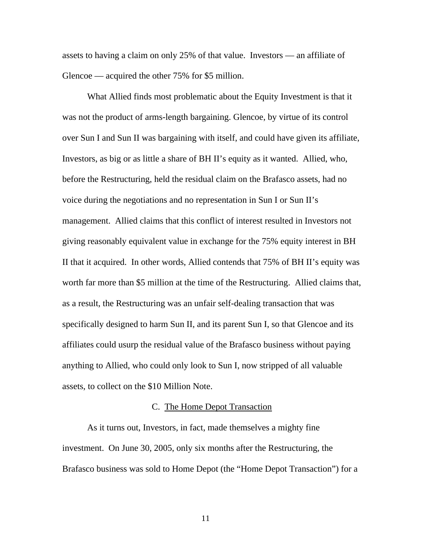assets to having a claim on only 25% of that value. Investors — an affiliate of Glencoe — acquired the other 75% for \$5 million.

What Allied finds most problematic about the Equity Investment is that it was not the product of arms-length bargaining. Glencoe, by virtue of its control over Sun I and Sun II was bargaining with itself, and could have given its affiliate, Investors, as big or as little a share of BH II's equity as it wanted. Allied, who, before the Restructuring, held the residual claim on the Brafasco assets, had no voice during the negotiations and no representation in Sun I or Sun II's management. Allied claims that this conflict of interest resulted in Investors not giving reasonably equivalent value in exchange for the 75% equity interest in BH II that it acquired. In other words, Allied contends that 75% of BH II's equity was worth far more than \$5 million at the time of the Restructuring. Allied claims that, as a result, the Restructuring was an unfair self-dealing transaction that was specifically designed to harm Sun II, and its parent Sun I, so that Glencoe and its affiliates could usurp the residual value of the Brafasco business without paying anything to Allied, who could only look to Sun I, now stripped of all valuable assets, to collect on the \$10 Million Note.

#### C. The Home Depot Transaction

As it turns out, Investors, in fact, made themselves a mighty fine investment. On June 30, 2005, only six months after the Restructuring, the Brafasco business was sold to Home Depot (the "Home Depot Transaction") for a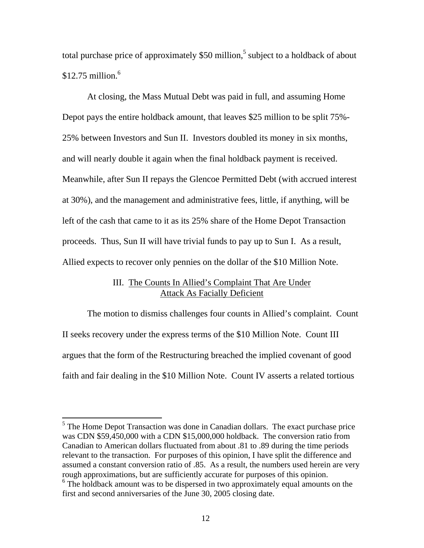total purchase price of approximately \$50 million,<sup>5</sup> subject to a holdback of about  $$12.75$  million.<sup>[6](#page-12-1)</sup>

At closing, the Mass Mutual Debt was paid in full, and assuming Home Depot pays the entire holdback amount, that leaves \$25 million to be split 75%- 25% between Investors and Sun II. Investors doubled its money in six months, and will nearly double it again when the final holdback payment is received. Meanwhile, after Sun II repays the Glencoe Permitted Debt (with accrued interest at 30%), and the management and administrative fees, little, if anything, will be left of the cash that came to it as its 25% share of the Home Depot Transaction proceeds. Thus, Sun II will have trivial funds to pay up to Sun I. As a result, Allied expects to recover only pennies on the dollar of the \$10 Million Note.

# III. The Counts In Allied's Complaint That Are Under Attack As Facially Deficient

The motion to dismiss challenges four counts in Allied's complaint. Count II seeks recovery under the express terms of the \$10 Million Note. Count III argues that the form of the Restructuring breached the implied covenant of good faith and fair dealing in the \$10 Million Note. Count IV asserts a related tortious

<span id="page-12-0"></span><sup>&</sup>lt;sup>5</sup> The Home Depot Transaction was done in Canadian dollars. The exact purchase price was CDN \$59,450,000 with a CDN \$15,000,000 holdback. The conversion ratio from Canadian to American dollars fluctuated from about .81 to .89 during the time periods relevant to the transaction. For purposes of this opinion, I have split the difference and assumed a constant conversion ratio of .85. As a result, the numbers used herein are very rough approximations, but are sufficiently accurate for purposes of this opinion.

<span id="page-12-1"></span><sup>&</sup>lt;sup>6</sup> The holdback amount was to be dispersed in two approximately equal amounts on the first and second anniversaries of the June 30, 2005 closing date.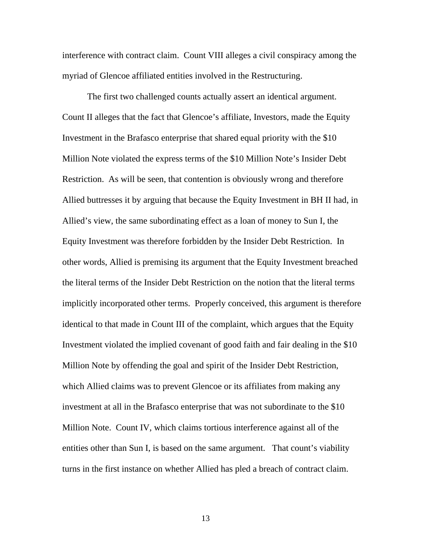interference with contract claim. Count VIII alleges a civil conspiracy among the myriad of Glencoe affiliated entities involved in the Restructuring.

The first two challenged counts actually assert an identical argument. Count II alleges that the fact that Glencoe's affiliate, Investors, made the Equity Investment in the Brafasco enterprise that shared equal priority with the \$10 Million Note violated the express terms of the \$10 Million Note's Insider Debt Restriction. As will be seen, that contention is obviously wrong and therefore Allied buttresses it by arguing that because the Equity Investment in BH II had, in Allied's view, the same subordinating effect as a loan of money to Sun I, the Equity Investment was therefore forbidden by the Insider Debt Restriction. In other words, Allied is premising its argument that the Equity Investment breached the literal terms of the Insider Debt Restriction on the notion that the literal terms implicitly incorporated other terms. Properly conceived, this argument is therefore identical to that made in Count III of the complaint, which argues that the Equity Investment violated the implied covenant of good faith and fair dealing in the \$10 Million Note by offending the goal and spirit of the Insider Debt Restriction, which Allied claims was to prevent Glencoe or its affiliates from making any investment at all in the Brafasco enterprise that was not subordinate to the \$10 Million Note. Count IV, which claims tortious interference against all of the entities other than Sun I, is based on the same argument. That count's viability turns in the first instance on whether Allied has pled a breach of contract claim.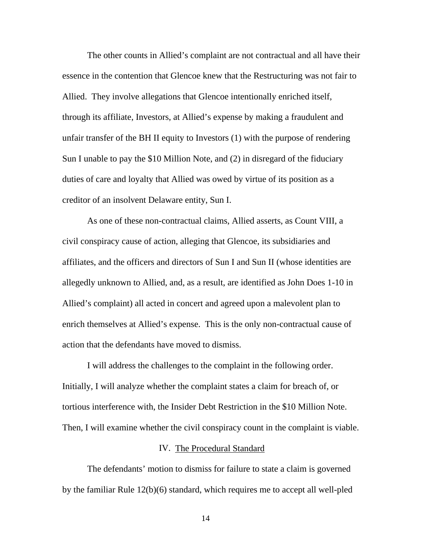The other counts in Allied's complaint are not contractual and all have their essence in the contention that Glencoe knew that the Restructuring was not fair to Allied. They involve allegations that Glencoe intentionally enriched itself, through its affiliate, Investors, at Allied's expense by making a fraudulent and unfair transfer of the BH II equity to Investors (1) with the purpose of rendering Sun I unable to pay the \$10 Million Note, and (2) in disregard of the fiduciary duties of care and loyalty that Allied was owed by virtue of its position as a creditor of an insolvent Delaware entity, Sun I.

As one of these non-contractual claims, Allied asserts, as Count VIII, a civil conspiracy cause of action, alleging that Glencoe, its subsidiaries and affiliates, and the officers and directors of Sun I and Sun II (whose identities are allegedly unknown to Allied, and, as a result, are identified as John Does 1-10 in Allied's complaint) all acted in concert and agreed upon a malevolent plan to enrich themselves at Allied's expense. This is the only non-contractual cause of action that the defendants have moved to dismiss.

I will address the challenges to the complaint in the following order. Initially, I will analyze whether the complaint states a claim for breach of, or tortious interference with, the Insider Debt Restriction in the \$10 Million Note. Then, I will examine whether the civil conspiracy count in the complaint is viable.

#### IV. The Procedural Standard

The defendants' motion to dismiss for failure to state a claim is governed by the familiar Rule 12(b)(6) standard, which requires me to accept all well-pled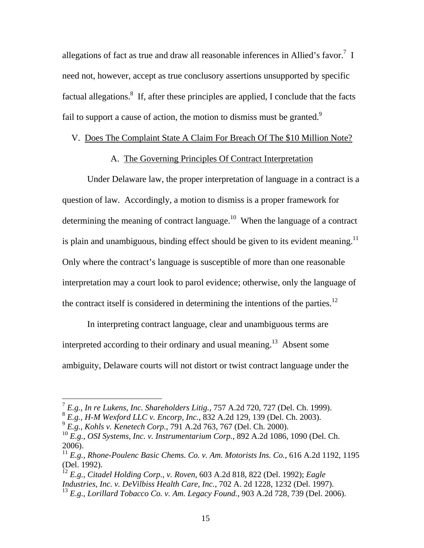allegations of fact as true and draw all reasonable inferences in Allied's favor.<sup>[7](#page-15-0)</sup> I need not, however, accept as true conclusory assertions unsupported by specific factual allegations.<sup>8</sup> If, after these principles are applied, I conclude that the facts fail to support a cause of action, the motion to dismiss must be granted.<sup>[9](#page-15-2)</sup>

### V. Does The Complaint State A Claim For Breach Of The \$10 Million Note?

# A. The Governing Principles Of Contract Interpretation

Under Delaware law, the proper interpretation of language in a contract is a question of law. Accordingly, a motion to dismiss is a proper framework for determining the meaning of contract language.<sup>10</sup> When the language of a contract is plain and unambiguous, binding effect should be given to its evident meaning.<sup>11</sup> Only where the contract's language is susceptible of more than one reasonable interpretation may a court look to parol evidence; otherwise, only the language of the contract itself is considered in determining the intentions of the parties.<sup>12</sup>

In interpreting contract language, clear and unambiguous terms are interpreted according to their ordinary and usual meaning.<sup>13</sup> Absent some ambiguity, Delaware courts will not distort or twist contract language under the

<span id="page-15-0"></span><sup>7</sup> *E.g., In re Lukens, Inc. Shareholders Litig.,* 757 A.2d 720, 727 (Del. Ch. 1999).

<span id="page-15-1"></span><sup>8</sup> *E.g., H-M Wexford LLC v. Encorp, Inc.*, 832 A.2d 129, 139 (Del. Ch. 2003).

<span id="page-15-2"></span><sup>9</sup> *E.g., Kohls v. Kenetech Corp.,* 791 A.2d 763, 767 (Del. Ch. 2000).

<span id="page-15-3"></span><sup>10</sup> *E.g., OSI Systems, Inc. v. Instrumentarium Corp.,* 892 A.2d 1086, 1090 (Del. Ch. 2006).

<span id="page-15-4"></span><sup>&</sup>lt;sup>11</sup> E.g., Rhone-Poulenc Basic Chems. Co. v. Am. Motorists Ins. Co., 616 A.2d 1192, 1195 (Del. 1992).

<span id="page-15-5"></span><sup>12</sup> *E.g., Citadel Holding Corp., v. Roven*, 603 A.2d 818, 822 (Del. 1992); *Eagle Industries, Inc. v. DeVilbiss Health Care, Inc.*, 702 A. 2d 1228, 1232 (Del. 1997).

<span id="page-15-6"></span><sup>13</sup> *E.g., Lorillard Tobacco Co. v. Am. Legacy Found.*, 903 A.2d 728, 739 (Del. 2006).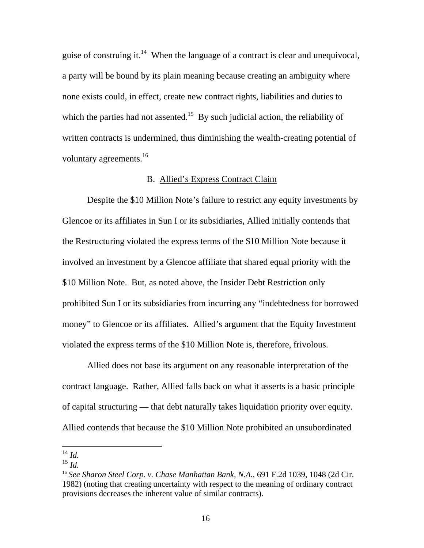guise of construing it.<sup>14</sup> When the language of a contract is clear and unequivocal, a party will be bound by its plain meaning because creating an ambiguity where none exists could, in effect, create new contract rights, liabilities and duties to which the parties had not assented.<sup>15</sup> By such judicial action, the reliability of written contracts is undermined, thus diminishing the wealth-creating potential of voluntary agreements.<sup>[16](#page-16-2)</sup>

### B. Allied's Express Contract Claim

Despite the \$10 Million Note's failure to restrict any equity investments by Glencoe or its affiliates in Sun I or its subsidiaries, Allied initially contends that the Restructuring violated the express terms of the \$10 Million Note because it involved an investment by a Glencoe affiliate that shared equal priority with the \$10 Million Note. But, as noted above, the Insider Debt Restriction only prohibited Sun I or its subsidiaries from incurring any "indebtedness for borrowed money" to Glencoe or its affiliates. Allied's argument that the Equity Investment violated the express terms of the \$10 Million Note is, therefore, frivolous.

Allied does not base its argument on any reasonable interpretation of the contract language. Rather, Allied falls back on what it asserts is a basic principle of capital structuring — that debt naturally takes liquidation priority over equity. Allied contends that because the \$10 Million Note prohibited an unsubordinated

<span id="page-16-0"></span><sup>14</sup> *Id.* 

<span id="page-16-1"></span><sup>15</sup> *Id.*

<span id="page-16-2"></span><sup>16</sup> *See Sharon Steel Corp. v. Chase Manhattan Bank, N.A.*, 691 F.2d 1039, 1048 (2d Cir. 1982) (noting that creating uncertainty with respect to the meaning of ordinary contract provisions decreases the inherent value of similar contracts).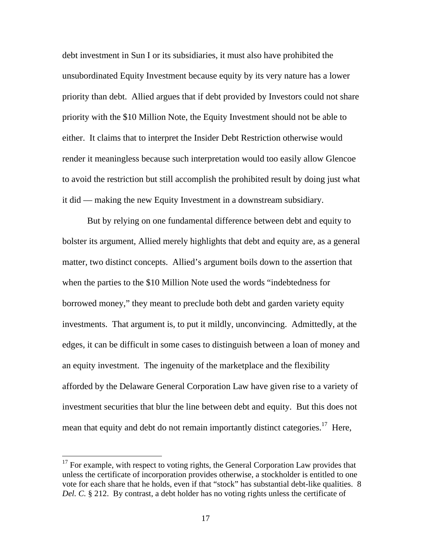debt investment in Sun I or its subsidiaries, it must also have prohibited the unsubordinated Equity Investment because equity by its very nature has a lower priority than debt. Allied argues that if debt provided by Investors could not share priority with the \$10 Million Note, the Equity Investment should not be able to either. It claims that to interpret the Insider Debt Restriction otherwise would render it meaningless because such interpretation would too easily allow Glencoe to avoid the restriction but still accomplish the prohibited result by doing just what it did — making the new Equity Investment in a downstream subsidiary.

But by relying on one fundamental difference between debt and equity to bolster its argument, Allied merely highlights that debt and equity are, as a general matter, two distinct concepts. Allied's argument boils down to the assertion that when the parties to the \$10 Million Note used the words "indebtedness for borrowed money," they meant to preclude both debt and garden variety equity investments. That argument is, to put it mildly, unconvincing. Admittedly, at the edges, it can be difficult in some cases to distinguish between a loan of money and an equity investment. The ingenuity of the marketplace and the flexibility afforded by the Delaware General Corporation Law have given rise to a variety of investment securities that blur the line between debt and equity. But this does not mean that equity and debt do not remain importantly distinct categories.<sup>17</sup> Here,

<span id="page-17-0"></span> $17$  For example, with respect to voting rights, the General Corporation Law provides that unless the certificate of incorporation provides otherwise, a stockholder is entitled to one vote for each share that he holds, even if that "stock" has substantial debt-like qualities. 8 *Del. C.* § 212. By contrast, a debt holder has no voting rights unless the certificate of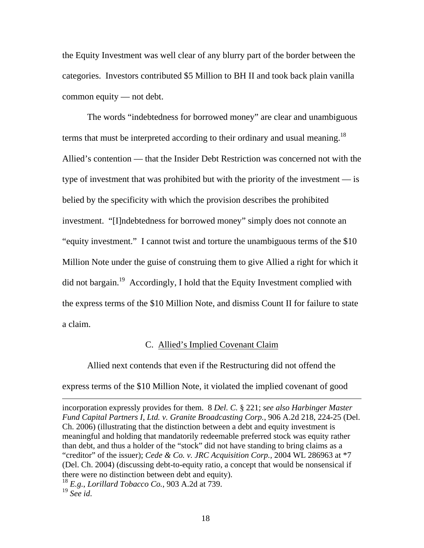the Equity Investment was well clear of any blurry part of the border between the categories. Investors contributed \$5 Million to BH II and took back plain vanilla common equity — not debt.

The words "indebtedness for borrowed money" are clear and unambiguous terms that must be interpreted according to their ordinary and usual meaning.<sup>18</sup> Allied's contention — that the Insider Debt Restriction was concerned not with the type of investment that was prohibited but with the priority of the investment — is belied by the specificity with which the provision describes the prohibited investment. "[I]ndebtedness for borrowed money" simply does not connote an "equity investment." I cannot twist and torture the unambiguous terms of the \$10 Million Note under the guise of construing them to give Allied a right for which it did not bargain.<sup>19</sup> Accordingly, I hold that the Equity Investment complied with the express terms of the \$10 Million Note, and dismiss Count II for failure to state a claim.

### C. Allied's Implied Covenant Claim

Allied next contends that even if the Restructuring did not offend the express terms of the \$10 Million Note, it violated the implied covenant of good

incorporation expressly provides for them. 8 *Del. C.* § 221; *see also Harbinger Master Fund Capital Partners I, Ltd. v. Granite Broadcasting Corp.*, 906 A.2d 218, 224-25 (Del. Ch. 2006) (illustrating that the distinction between a debt and equity investment is meaningful and holding that mandatorily redeemable preferred stock was equity rather than debt, and thus a holder of the "stock" did not have standing to bring claims as a "creditor" of the issuer); *Cede & Co. v. JRC Acquisition Corp.,* 2004 WL 286963 at \*7 (Del. Ch. 2004) (discussing debt-to-equity ratio, a concept that would be nonsensical if there were no distinction between debt and equity).

<span id="page-18-0"></span><sup>18</sup> *E.g.*, *Lorillard Tobacco Co.*, 903 A.2d at 739.

<span id="page-18-1"></span><sup>19</sup> *See id*.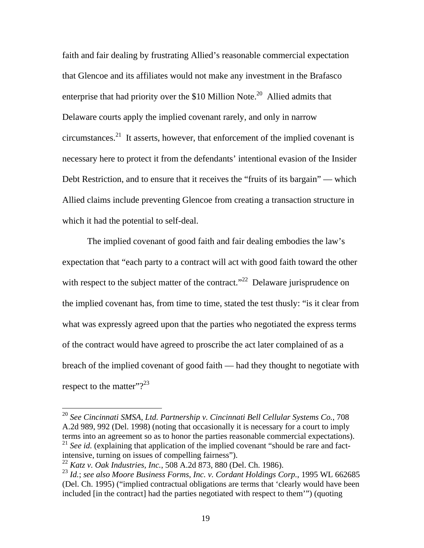faith and fair dealing by frustrating Allied's reasonable commercial expectation that Glencoe and its affiliates would not make any investment in the Brafasco enterprise that had priority over the \$10 Million Note.<sup>20</sup> Allied admits that Delaware courts apply the implied covenant rarely, and only in narrow circumstances.<sup>21</sup> It asserts, however, that enforcement of the implied covenant is necessary here to protect it from the defendants' intentional evasion of the Insider Debt Restriction, and to ensure that it receives the "fruits of its bargain" — which Allied claims include preventing Glencoe from creating a transaction structure in which it had the potential to self-deal.

The implied covenant of good faith and fair dealing embodies the law's expectation that "each party to a contract will act with good faith toward the other with respect to the subject matter of the contract."<sup>22</sup> Delaware jurisprudence on the implied covenant has, from time to time, stated the test thusly: "is it clear from what was expressly agreed upon that the parties who negotiated the express terms of the contract would have agreed to proscribe the act later complained of as a breach of the implied covenant of good faith — had they thought to negotiate with respect to the matter"? $2^{23}$ 

<span id="page-19-0"></span><sup>20</sup> *See Cincinnati SMSA, Ltd. Partnership v. Cincinnati Bell Cellular Systems Co.*, 708 A.2d 989, 992 (Del. 1998) (noting that occasionally it is necessary for a court to imply terms into an agreement so as to honor the parties reasonable commercial expectations). <sup>21</sup> See id. (explaining that application of the implied covenant "should be rare and fact-

<span id="page-19-1"></span>intensive, turning on issues of compelling fairness").

<span id="page-19-2"></span><sup>22</sup> *Katz v. Oak Industries, Inc.*, 508 A.2d 873, 880 (Del. Ch. 1986).

<span id="page-19-3"></span><sup>23</sup> *Id.*; *see also Moore Business Forms, Inc. v. Cordant Holdings Corp.*, 1995 WL 662685 (Del. Ch. 1995) ("implied contractual obligations are terms that 'clearly would have been included [in the contract] had the parties negotiated with respect to them'") (quoting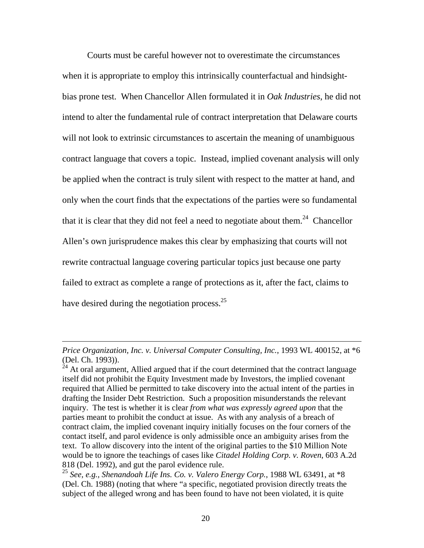Courts must be careful however not to overestimate the circumstances when it is appropriate to employ this intrinsically counterfactual and hindsightbias prone test. When Chancellor Allen formulated it in *Oak Industries*, he did not intend to alter the fundamental rule of contract interpretation that Delaware courts will not look to extrinsic circumstances to ascertain the meaning of unambiguous contract language that covers a topic. Instead, implied covenant analysis will only be applied when the contract is truly silent with respect to the matter at hand, and only when the court finds that the expectations of the parties were so fundamental that it is clear that they did not feel a need to negotiate about them.<sup>24</sup> Chancellor Allen's own jurisprudence makes this clear by emphasizing that courts will not rewrite contractual language covering particular topics just because one party failed to extract as complete a range of protections as it, after the fact, claims to have desired during the negotiation process.<sup>25</sup>

*Price Organization, Inc. v. Universal Computer Consulting, Inc.*, 1993 WL 400152, at \*6 (Del. Ch. 1993)).

<span id="page-20-0"></span> $24$  At oral argument, Allied argued that if the court determined that the contract language itself did not prohibit the Equity Investment made by Investors, the implied covenant required that Allied be permitted to take discovery into the actual intent of the parties in drafting the Insider Debt Restriction. Such a proposition misunderstands the relevant inquiry. The test is whether it is clear *from what was expressly agreed upon* that the parties meant to prohibit the conduct at issue. As with any analysis of a breach of contract claim, the implied covenant inquiry initially focuses on the four corners of the contact itself, and parol evidence is only admissible once an ambiguity arises from the text. To allow discovery into the intent of the original parties to the \$10 Million Note would be to ignore the teachings of cases like *Citadel Holding Corp. v. Roven*, 603 A.2d 818 (Del. 1992), and gut the parol evidence rule.

<span id="page-20-1"></span><sup>25</sup> *See, e.g., Shenandoah Life Ins. Co. v. Valero Energy Corp.*, 1988 WL 63491, at \*8 (Del. Ch. 1988) (noting that where "a specific, negotiated provision directly treats the subject of the alleged wrong and has been found to have not been violated, it is quite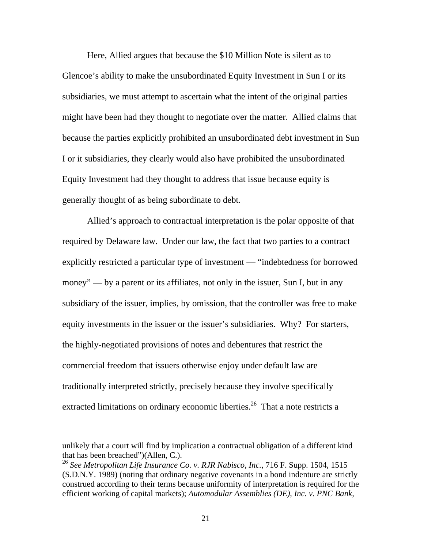Here, Allied argues that because the \$10 Million Note is silent as to Glencoe's ability to make the unsubordinated Equity Investment in Sun I or its subsidiaries, we must attempt to ascertain what the intent of the original parties might have been had they thought to negotiate over the matter. Allied claims that because the parties explicitly prohibited an unsubordinated debt investment in Sun I or it subsidiaries, they clearly would also have prohibited the unsubordinated Equity Investment had they thought to address that issue because equity is generally thought of as being subordinate to debt.

Allied's approach to contractual interpretation is the polar opposite of that required by Delaware law. Under our law, the fact that two parties to a contract explicitly restricted a particular type of investment — "indebtedness for borrowed money" — by a parent or its affiliates, not only in the issuer, Sun I, but in any subsidiary of the issuer, implies, by omission, that the controller was free to make equity investments in the issuer or the issuer's subsidiaries. Why? For starters, the highly-negotiated provisions of notes and debentures that restrict the commercial freedom that issuers otherwise enjoy under default law are traditionally interpreted strictly, precisely because they involve specifically extracted limitations on ordinary economic liberties.<sup>26</sup> That a note restricts a

unlikely that a court will find by implication a contractual obligation of a different kind that has been breached")(Allen, C.).

<span id="page-21-0"></span><sup>26</sup> *See Metropolitan Life Insurance Co. v. RJR Nabisco, Inc.*, 716 F. Supp. 1504, 1515 (S.D.N.Y. 1989) (noting that ordinary negative covenants in a bond indenture are strictly construed according to their terms because uniformity of interpretation is required for the efficient working of capital markets); *Automodular Assemblies (DE), Inc. v. PNC Bank,*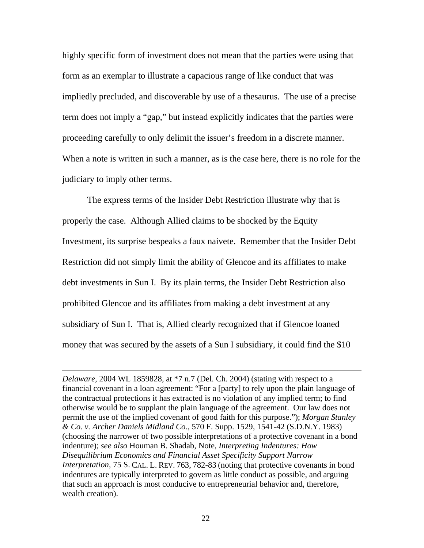highly specific form of investment does not mean that the parties were using that form as an exemplar to illustrate a capacious range of like conduct that was impliedly precluded, and discoverable by use of a thesaurus. The use of a precise term does not imply a "gap," but instead explicitly indicates that the parties were proceeding carefully to only delimit the issuer's freedom in a discrete manner. When a note is written in such a manner, as is the case here, there is no role for the judiciary to imply other terms.

The express terms of the Insider Debt Restriction illustrate why that is properly the case. Although Allied claims to be shocked by the Equity Investment, its surprise bespeaks a faux naivete. Remember that the Insider Debt Restriction did not simply limit the ability of Glencoe and its affiliates to make debt investments in Sun I. By its plain terms, the Insider Debt Restriction also prohibited Glencoe and its affiliates from making a debt investment at any subsidiary of Sun I. That is, Allied clearly recognized that if Glencoe loaned money that was secured by the assets of a Sun I subsidiary, it could find the \$10

*Delaware,* 2004 WL 1859828, at \*7 n.7 (Del. Ch. 2004) (stating with respect to a financial covenant in a loan agreement: "For a [party] to rely upon the plain language of the contractual protections it has extracted is no violation of any implied term; to find otherwise would be to supplant the plain language of the agreement. Our law does not permit the use of the implied covenant of good faith for this purpose."); *Morgan Stanley & Co. v. Archer Daniels Midland Co.,* 570 F. Supp. 1529, 1541-42 (S.D.N.Y. 1983) (choosing the narrower of two possible interpretations of a protective covenant in a bond indenture); *see also* Houman B. Shadab, Note, *Interpreting Indentures: How Disequilibrium Economics and Financial Asset Specificity Support Narrow Interpretation,* 75 S. CAL. L. REV. 763, 782-83 (noting that protective covenants in bond indentures are typically interpreted to govern as little conduct as possible, and arguing that such an approach is most conducive to entrepreneurial behavior and, therefore, wealth creation).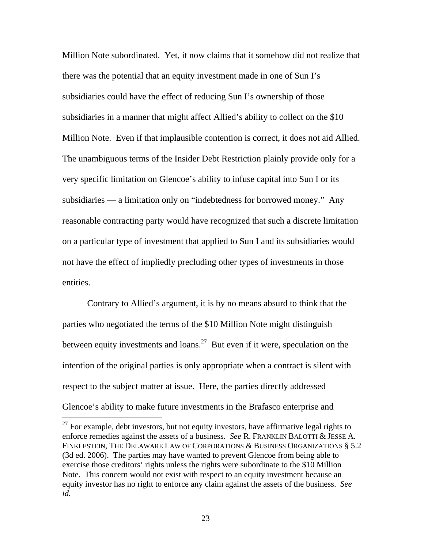Million Note subordinated. Yet, it now claims that it somehow did not realize that there was the potential that an equity investment made in one of Sun I's subsidiaries could have the effect of reducing Sun I's ownership of those subsidiaries in a manner that might affect Allied's ability to collect on the \$10 Million Note. Even if that implausible contention is correct, it does not aid Allied. The unambiguous terms of the Insider Debt Restriction plainly provide only for a very specific limitation on Glencoe's ability to infuse capital into Sun I or its subsidiaries — a limitation only on "indebtedness for borrowed money." Any reasonable contracting party would have recognized that such a discrete limitation on a particular type of investment that applied to Sun I and its subsidiaries would not have the effect of impliedly precluding other types of investments in those entities.

Contrary to Allied's argument, it is by no means absurd to think that the parties who negotiated the terms of the \$10 Million Note might distinguish between equity investments and loans.<sup>27</sup> But even if it were, speculation on the intention of the original parties is only appropriate when a contract is silent with respect to the subject matter at issue. Here, the parties directly addressed Glencoe's ability to make future investments in the Brafasco enterprise and

<span id="page-23-0"></span> $27$  For example, debt investors, but not equity investors, have affirmative legal rights to enforce remedies against the assets of a business. *See* R. FRANKLIN BALOTTI & JESSE A. FINKLESTEIN, THE DELAWARE LAW OF CORPORATIONS & BUSINESS ORGANIZATIONS § 5.2 (3d ed. 2006). The parties may have wanted to prevent Glencoe from being able to exercise those creditors' rights unless the rights were subordinate to the \$10 Million Note. This concern would not exist with respect to an equity investment because an equity investor has no right to enforce any claim against the assets of the business. *See id.*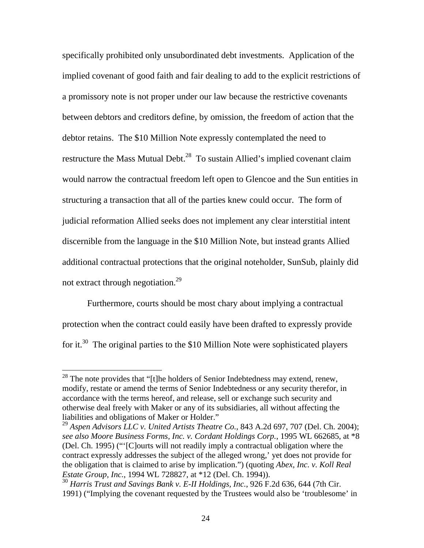specifically prohibited only unsubordinated debt investments. Application of the implied covenant of good faith and fair dealing to add to the explicit restrictions of a promissory note is not proper under our law because the restrictive covenants between debtors and creditors define, by omission, the freedom of action that the debtor retains. The \$10 Million Note expressly contemplated the need to restructure the Mass Mutual Debt.<sup>28</sup> To sustain Allied's implied covenant claim would narrow the contractual freedom left open to Glencoe and the Sun entities in structuring a transaction that all of the parties knew could occur. The form of judicial reformation Allied seeks does not implement any clear interstitial intent discernible from the language in the \$10 Million Note, but instead grants Allied additional contractual protections that the original noteholder, SunSub, plainly did not extract through negotiation[.29](#page-24-1) 

Furthermore, courts should be most chary about implying a contractual protection when the contract could easily have been drafted to expressly provide for it.<sup>30</sup> The original parties to the \$10 Million Note were sophisticated players

<span id="page-24-0"></span> $^{28}$  The note provides that "[t]he holders of Senior Indebtedness may extend, renew, modify, restate or amend the terms of Senior Indebtedness or any security therefor, in accordance with the terms hereof, and release, sell or exchange such security and otherwise deal freely with Maker or any of its subsidiaries, all without affecting the liabilities and obligations of Maker or Holder."

<span id="page-24-1"></span><sup>29</sup> *Aspen Advisors LLC v. United Artists Theatre Co.*, 843 A.2d 697, 707 (Del. Ch. 2004); *see also Moore Business Forms, Inc. v. Cordant Holdings Corp.*, 1995 WL 662685, at \*8 (Del. Ch. 1995) ("'[C]ourts will not readily imply a contractual obligation where the contract expressly addresses the subject of the alleged wrong,' yet does not provide for the obligation that is claimed to arise by implication.") (quoting *Abex, Inc. v. Koll Real Estate Group, Inc.*, 1994 WL 728827, at \*12 (Del. Ch. 1994)).

<span id="page-24-2"></span><sup>30</sup> *Harris Trust and Savings Bank v. E-II Holdings, Inc.*, 926 F.2d 636, 644 (7th Cir. 1991) ("Implying the covenant requested by the Trustees would also be 'troublesome' in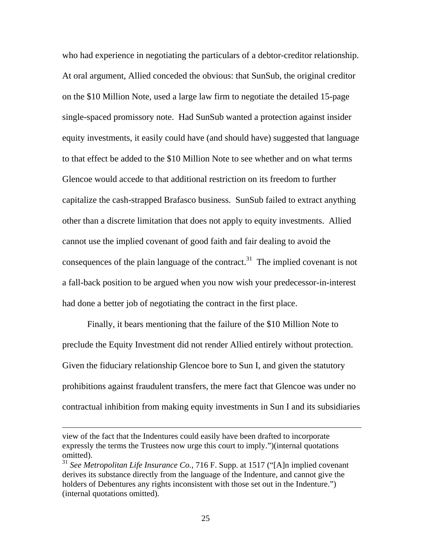who had experience in negotiating the particulars of a debtor-creditor relationship. At oral argument, Allied conceded the obvious: that SunSub, the original creditor on the \$10 Million Note, used a large law firm to negotiate the detailed 15-page single-spaced promissory note. Had SunSub wanted a protection against insider equity investments, it easily could have (and should have) suggested that language to that effect be added to the \$10 Million Note to see whether and on what terms Glencoe would accede to that additional restriction on its freedom to further capitalize the cash-strapped Brafasco business. SunSub failed to extract anything other than a discrete limitation that does not apply to equity investments. Allied cannot use the implied covenant of good faith and fair dealing to avoid the consequences of the plain language of the contract.<sup>31</sup> The implied covenant is not a fall-back position to be argued when you now wish your predecessor-in-interest had done a better job of negotiating the contract in the first place.

Finally, it bears mentioning that the failure of the \$10 Million Note to preclude the Equity Investment did not render Allied entirely without protection. Given the fiduciary relationship Glencoe bore to Sun I, and given the statutory prohibitions against fraudulent transfers, the mere fact that Glencoe was under no contractual inhibition from making equity investments in Sun I and its subsidiaries

view of the fact that the Indentures could easily have been drafted to incorporate expressly the terms the Trustees now urge this court to imply.")(internal quotations omitted).

<span id="page-25-0"></span><sup>31</sup> *See Metropolitan Life Insurance Co.*, 716 F. Supp. at 1517 ("[A]n implied covenant derives its substance directly from the language of the Indenture, and cannot give the holders of Debentures any rights inconsistent with those set out in the Indenture.") (internal quotations omitted).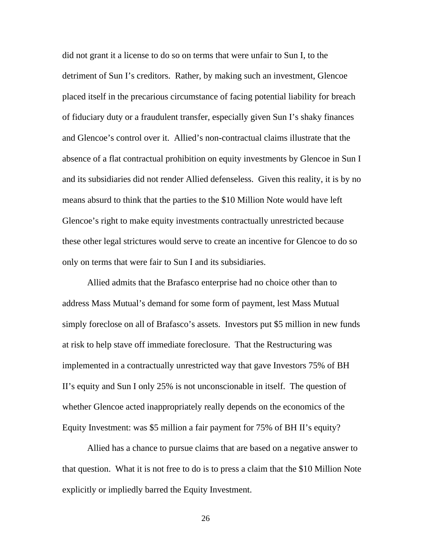did not grant it a license to do so on terms that were unfair to Sun I, to the detriment of Sun I's creditors. Rather, by making such an investment, Glencoe placed itself in the precarious circumstance of facing potential liability for breach of fiduciary duty or a fraudulent transfer, especially given Sun I's shaky finances and Glencoe's control over it. Allied's non-contractual claims illustrate that the absence of a flat contractual prohibition on equity investments by Glencoe in Sun I and its subsidiaries did not render Allied defenseless. Given this reality, it is by no means absurd to think that the parties to the \$10 Million Note would have left Glencoe's right to make equity investments contractually unrestricted because these other legal strictures would serve to create an incentive for Glencoe to do so only on terms that were fair to Sun I and its subsidiaries.

Allied admits that the Brafasco enterprise had no choice other than to address Mass Mutual's demand for some form of payment, lest Mass Mutual simply foreclose on all of Brafasco's assets. Investors put \$5 million in new funds at risk to help stave off immediate foreclosure. That the Restructuring was implemented in a contractually unrestricted way that gave Investors 75% of BH II's equity and Sun I only 25% is not unconscionable in itself. The question of whether Glencoe acted inappropriately really depends on the economics of the Equity Investment: was \$5 million a fair payment for 75% of BH II's equity?

Allied has a chance to pursue claims that are based on a negative answer to that question. What it is not free to do is to press a claim that the \$10 Million Note explicitly or impliedly barred the Equity Investment.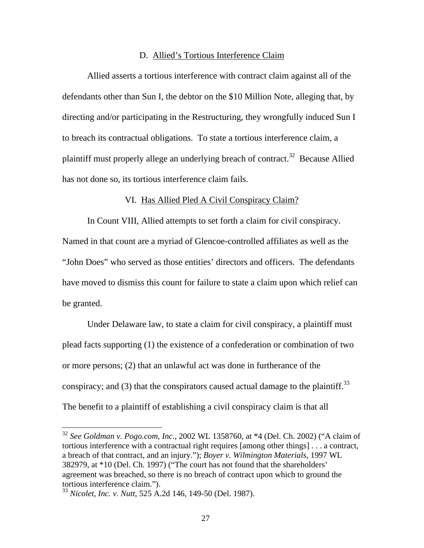#### D. Allied's Tortious Interference Claim

Allied asserts a tortious interference with contract claim against all of the defendants other than Sun I, the debtor on the \$10 Million Note, alleging that, by directing and/or participating in the Restructuring, they wrongfully induced Sun I to breach its contractual obligations. To state a tortious interference claim, a plaintiff must properly allege an underlying breach of contract.<sup>32</sup> Because Allied has not done so, its tortious interference claim fails.

#### VI. Has Allied Pled A Civil Conspiracy Claim?

In Count VIII, Allied attempts to set forth a claim for civil conspiracy.

Named in that count are a myriad of Glencoe-controlled affiliates as well as the "John Does" who served as those entities' directors and officers. The defendants have moved to dismiss this count for failure to state a claim upon which relief can be granted.

Under Delaware law, to state a claim for civil conspiracy, a plaintiff must plead facts supporting (1) the existence of a confederation or combination of two or more persons; (2) that an unlawful act was done in furtherance of the conspiracy; and (3) that the conspirators caused actual damage to the plaintiff.<sup>33</sup> The benefit to a plaintiff of establishing a civil conspiracy claim is that all

<span id="page-27-0"></span><sup>32</sup> *See Goldman v. Pogo.com, Inc.*, 2002 WL 1358760, at \*4 (Del. Ch. 2002) ("A claim of tortious interference with a contractual right requires [among other things] . . . a contract, a breach of that contract, and an injury."); *Boyer v. Wilmington Materials*, 1997 WL 382979, at \*10 (Del. Ch. 1997) ("The court has not found that the shareholders' agreement was breached, so there is no breach of contract upon which to ground the tortious interference claim.").

<span id="page-27-1"></span><sup>33</sup> *Nicolet, Inc. v. Nutt*, 525 A.2d 146, 149-50 (Del. 1987).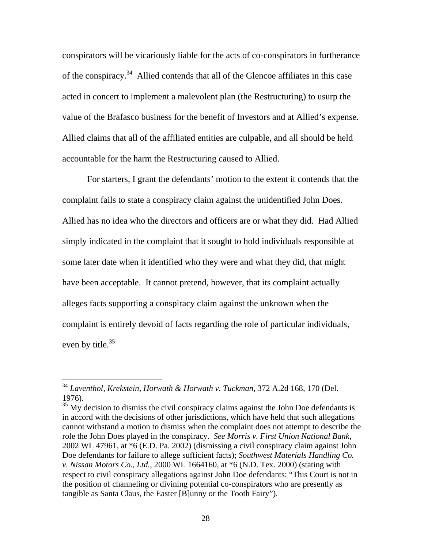conspirators will be vicariously liable for the acts of co-conspirators in furtherance of the conspiracy.[34](#page-28-0) Allied contends that all of the Glencoe affiliates in this case acted in concert to implement a malevolent plan (the Restructuring) to usurp the value of the Brafasco business for the benefit of Investors and at Allied's expense. Allied claims that all of the affiliated entities are culpable, and all should be held accountable for the harm the Restructuring caused to Allied.

For starters, I grant the defendants' motion to the extent it contends that the complaint fails to state a conspiracy claim against the unidentified John Does. Allied has no idea who the directors and officers are or what they did. Had Allied simply indicated in the complaint that it sought to hold individuals responsible at some later date when it identified who they were and what they did, that might have been acceptable. It cannot pretend, however, that its complaint actually alleges facts supporting a conspiracy claim against the unknown when the complaint is entirely devoid of facts regarding the role of particular individuals, even by title.<sup>[35](#page-28-1)</sup>

 $\overline{a}$ 

<span id="page-28-1"></span><sup>35</sup> My decision to dismiss the civil conspiracy claims against the John Doe defendants is in accord with the decisions of other jurisdictions, which have held that such allegations cannot withstand a motion to dismiss when the complaint does not attempt to describe the role the John Does played in the conspiracy. *See Morris v. First Union National Bank*, 2002 WL 47961, at \*6 (E.D. Pa. 2002) (dismissing a civil conspiracy claim against John Doe defendants for failure to allege sufficient facts); *Southwest Materials Handling Co. v. Nissan Motors Co., Ltd.*, 2000 WL 1664160, at \*6 (N.D. Tex. 2000) (stating with respect to civil conspiracy allegations against John Doe defendants: "This Court is not in the position of channeling or divining potential co-conspirators who are presently as tangible as Santa Claus, the Easter [B]unny or the Tooth Fairy").

<span id="page-28-0"></span><sup>34</sup> *Laventhol, Krekstein, Horwath & Horwath v. Tuckman*, 372 A.2d 168, 170 (Del. 1976).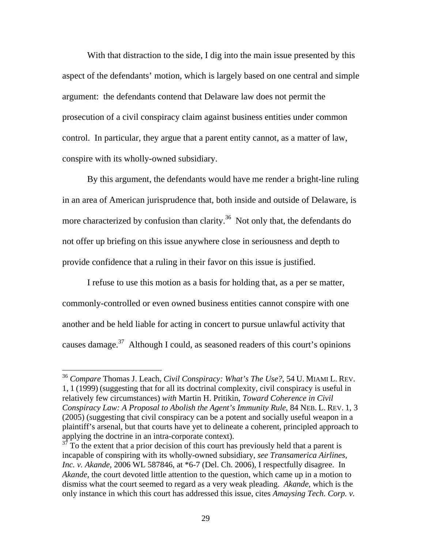With that distraction to the side, I dig into the main issue presented by this aspect of the defendants' motion, which is largely based on one central and simple argument: the defendants contend that Delaware law does not permit the prosecution of a civil conspiracy claim against business entities under common control. In particular, they argue that a parent entity cannot, as a matter of law, conspire with its wholly-owned subsidiary.

By this argument, the defendants would have me render a bright-line ruling in an area of American jurisprudence that, both inside and outside of Delaware, is more characterized by confusion than clarity.<sup>36</sup> Not only that, the defendants do not offer up briefing on this issue anywhere close in seriousness and depth to provide confidence that a ruling in their favor on this issue is justified.

I refuse to use this motion as a basis for holding that, as a per se matter, commonly-controlled or even owned business entities cannot conspire with one another and be held liable for acting in concert to pursue unlawful activity that causes damage.<sup>37</sup> Although I could, as seasoned readers of this court's opinions

<span id="page-29-0"></span><sup>36</sup> *Compare* Thomas J. Leach, *Civil Conspiracy: What's The Use?*, 54 U. MIAMI L. REV. 1, 1 (1999) (suggesting that for all its doctrinal complexity, civil conspiracy is useful in relatively few circumstances) *with* Martin H. Pritikin, *Toward Coherence in Civil Conspiracy Law: A Proposal to Abolish the Agent's Immunity Rule*, 84 NEB. L. REV. 1, 3 (2005) (suggesting that civil conspiracy can be a potent and socially useful weapon in a plaintiff's arsenal, but that courts have yet to delineate a coherent, principled approach to applying the doctrine in an intra-corporate context).

<span id="page-29-1"></span>To the extent that a prior decision of this court has previously held that a parent is incapable of conspiring with its wholly-owned subsidiary, *see Transamerica Airlines, Inc. v. Akande*, 2006 WL 587846, at \*6-7 (Del. Ch. 2006), I respectfully disagree. In *Akande,* the court devoted little attention to the question, which came up in a motion to dismiss what the court seemed to regard as a very weak pleading. *Akande*, which is the only instance in which this court has addressed this issue, cites *Amaysing Tech. Corp. v.*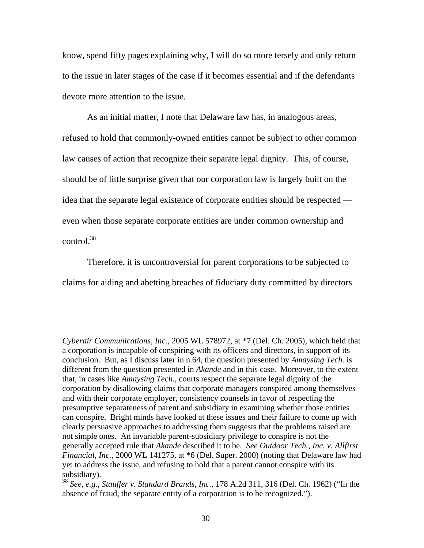know, spend fifty pages explaining why, I will do so more tersely and only return to the issue in later stages of the case if it becomes essential and if the defendants devote more attention to the issue.

As an initial matter, I note that Delaware law has, in analogous areas, refused to hold that commonly-owned entities cannot be subject to other common law causes of action that recognize their separate legal dignity. This, of course, should be of little surprise given that our corporation law is largely built on the idea that the separate legal existence of corporate entities should be respected even when those separate corporate entities are under common ownership and  $control<sup>38</sup>$ 

Therefore, it is uncontroversial for parent corporations to be subjected to claims for aiding and abetting breaches of fiduciary duty committed by directors

*Cyberair Communications, Inc.,* 2005 WL 578972, at \*7 (Del. Ch. 2005), which held that a corporation is incapable of conspiring with its officers and directors, in support of its conclusion. But, as I discuss later in n.64, the question presented by *Amaysing Tech.* is different from the question presented in *Akande* and in this case. Moreover, to the extent that, in cases like *Amaysing Tech.*, courts respect the separate legal dignity of the corporation by disallowing claims that corporate managers conspired among themselves and with their corporate employer, consistency counsels in favor of respecting the presumptive separateness of parent and subsidiary in examining whether those entities can conspire. Bright minds have looked at these issues and their failure to come up with clearly persuasive approaches to addressing them suggests that the problems raised are not simple ones. An invariable parent-subsidiary privilege to conspire is not the generally accepted rule that *Akande* described it to be. *See Outdoor Tech., Inc. v. Allfirst Financial, Inc.*, 2000 WL 141275, at \*6 (Del. Super. 2000) (noting that Delaware law had yet to address the issue, and refusing to hold that a parent cannot conspire with its subsidiary).

<span id="page-30-0"></span><sup>38</sup> *See, e.g., Stauffer v. Standard Brands, Inc.*, 178 A.2d 311, 316 (Del. Ch. 1962) ("In the absence of fraud, the separate entity of a corporation is to be recognized.").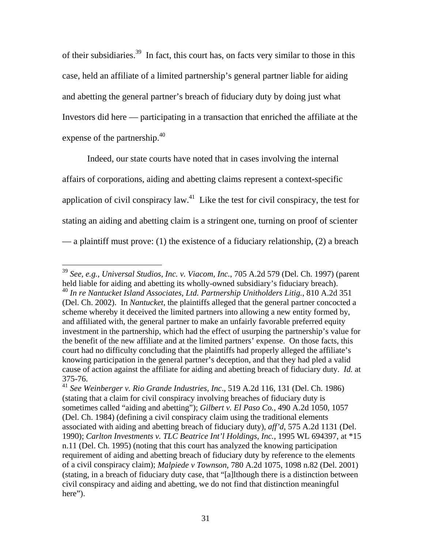of their subsidiaries.<sup>39</sup> In fact, this court has, on facts very similar to those in this case, held an affiliate of a limited partnership's general partner liable for aiding and abetting the general partner's breach of fiduciary duty by doing just what Investors did here — participating in a transaction that enriched the affiliate at the expense of the partnership.<sup>40</sup>

Indeed, our state courts have noted that in cases involving the internal affairs of corporations, aiding and abetting claims represent a context-specific application of civil conspiracy law.<sup>41</sup> Like the test for civil conspiracy, the test for stating an aiding and abetting claim is a stringent one, turning on proof of scienter — a plaintiff must prove: (1) the existence of a fiduciary relationship, (2) a breach

<span id="page-31-1"></span><span id="page-31-0"></span><sup>39</sup> *See, e.g., Universal Studios, Inc. v. Viacom, Inc.*, 705 A.2d 579 (Del. Ch. 1997) (parent held liable for aiding and abetting its wholly-owned subsidiary's fiduciary breach). <sup>40</sup> *In re Nantucket Island Associates, Ltd. Partnership Unitholders Litig.*, 810 A.2d 351 (Del. Ch. 2002). In *Nantucket*, the plaintiffs alleged that the general partner concocted a scheme whereby it deceived the limited partners into allowing a new entity formed by, and affiliated with, the general partner to make an unfairly favorable preferred equity investment in the partnership, which had the effect of usurping the partnership's value for the benefit of the new affiliate and at the limited partners' expense. On those facts, this court had no difficulty concluding that the plaintiffs had properly alleged the affiliate's knowing participation in the general partner's deception, and that they had pled a valid cause of action against the affiliate for aiding and abetting breach of fiduciary duty. *Id.* at 375-76.

<span id="page-31-2"></span><sup>41</sup> *See Weinberger v. Rio Grande Industries, Inc*.*,* 519 A.2d 116, 131 (Del. Ch. 1986) (stating that a claim for civil conspiracy involving breaches of fiduciary duty is sometimes called "aiding and abetting"); *Gilbert v. El Paso Co.*, 490 A.2d 1050, 1057 (Del. Ch. 1984) (defining a civil conspiracy claim using the traditional elements associated with aiding and abetting breach of fiduciary duty), *aff'd*, 575 A.2d 1131 (Del. 1990); *Carlton Investments v. TLC Beatrice Int'l Holdings, Inc.*, 1995 WL 694397, at \*15 n.11 (Del. Ch. 1995) (noting that this court has analyzed the knowing participation requirement of aiding and abetting breach of fiduciary duty by reference to the elements of a civil conspiracy claim); *Malpiede v Townson*, 780 A.2d 1075, 1098 n.82 (Del. 2001) (stating, in a breach of fiduciary duty case, that "[a]lthough there is a distinction between civil conspiracy and aiding and abetting, we do not find that distinction meaningful here").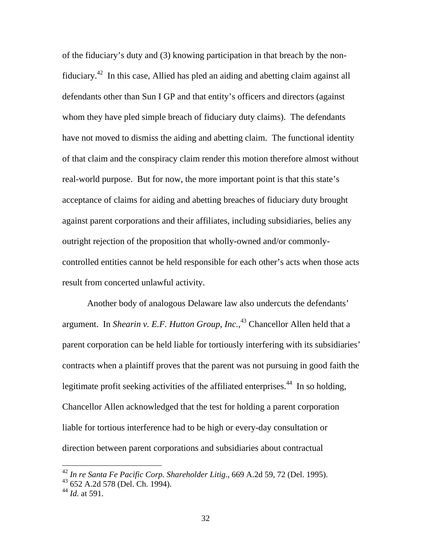of the fiduciary's duty and (3) knowing participation in that breach by the nonfiduciary[.42](#page-32-0) In this case, Allied has pled an aiding and abetting claim against all defendants other than Sun I GP and that entity's officers and directors (against whom they have pled simple breach of fiduciary duty claims). The defendants have not moved to dismiss the aiding and abetting claim. The functional identity of that claim and the conspiracy claim render this motion therefore almost without real-world purpose. But for now, the more important point is that this state's acceptance of claims for aiding and abetting breaches of fiduciary duty brought against parent corporations and their affiliates, including subsidiaries, belies any outright rejection of the proposition that wholly-owned and/or commonlycontrolled entities cannot be held responsible for each other's acts when those acts result from concerted unlawful activity.

Another body of analogous Delaware law also undercuts the defendants' argument. In *Shearin v. E.F. Hutton Group, Inc.*, [43](#page-32-1) Chancellor Allen held that a parent corporation can be held liable for tortiously interfering with its subsidiaries' contracts when a plaintiff proves that the parent was not pursuing in good faith the legitimate profit seeking activities of the affiliated enterprises.<sup>44</sup> In so holding, Chancellor Allen acknowledged that the test for holding a parent corporation liable for tortious interference had to be high or every-day consultation or direction between parent corporations and subsidiaries about contractual

<span id="page-32-0"></span><sup>42</sup> *In re Santa Fe Pacific Corp. Shareholder Litig.*, 669 A.2d 59, 72 (Del. 1995).

<span id="page-32-1"></span><sup>43 652</sup> A.2d 578 (Del. Ch. 1994).

<span id="page-32-2"></span><sup>44</sup> *Id.* at 591.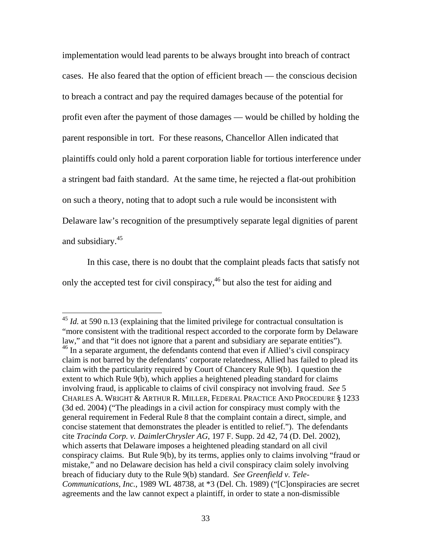implementation would lead parents to be always brought into breach of contract cases. He also feared that the option of efficient breach — the conscious decision to breach a contract and pay the required damages because of the potential for profit even after the payment of those damages — would be chilled by holding the parent responsible in tort. For these reasons, Chancellor Allen indicated that plaintiffs could only hold a parent corporation liable for tortious interference under a stringent bad faith standard. At the same time, he rejected a flat-out prohibition on such a theory, noting that to adopt such a rule would be inconsistent with Delaware law's recognition of the presumptively separate legal dignities of parent and subsidiary.[45](#page-33-0)

In this case, there is no doubt that the complaint pleads facts that satisfy not only the accepted test for civil conspiracy,<sup>46</sup> but also the test for aiding and

<span id="page-33-1"></span><span id="page-33-0"></span><sup>&</sup>lt;sup>45</sup> *Id.* at 590 n.13 (explaining that the limited privilege for contractual consultation is "more consistent with the traditional respect accorded to the corporate form by Delaware law," and that "it does not ignore that a parent and subsidiary are separate entities").  $46$  In a separate argument, the defendants contend that even if Allied's civil conspiracy claim is not barred by the defendants' corporate relatedness, Allied has failed to plead its claim with the particularity required by Court of Chancery Rule 9(b). I question the extent to which Rule 9(b), which applies a heightened pleading standard for claims involving fraud, is applicable to claims of civil conspiracy not involving fraud. *See* 5 CHARLES A. WRIGHT & ARTHUR R. MILLER, FEDERAL PRACTICE AND PROCEDURE § 1233 (3d ed. 2004) ("The pleadings in a civil action for conspiracy must comply with the general requirement in Federal [Rule 8](http://web2.westlaw.com/find/default.wl?rp=%2ffind%2fdefault.wl&vc=0&DB=1000600&DocName=USFRCPR8&FindType=L&AP=&fn=_top&rs=WLW6.11&mt=Delaware&vr=2.0&sv=Split) that the complaint contain a direct, simple, and concise statement that demonstrates the pleader is entitled to relief."). The defendants cite *Tracinda Corp. v. DaimlerChrysler AG*, 197 F. Supp. 2d 42, 74 (D. Del. 2002), which asserts that Delaware imposes a heightened pleading standard on all civil conspiracy claims. But Rule 9(b), by its terms, applies only to claims involving "fraud or mistake," and no Delaware decision has held a civil conspiracy claim solely involving breach of fiduciary duty to the Rule 9(b) standard. *See Greenfield v. Tele-Communications, Inc.*, 1989 WL 48738, at \*3 (Del. Ch. 1989) ("[C]onspiracies are secret agreements and the law cannot expect a plaintiff, in order to state a non-dismissible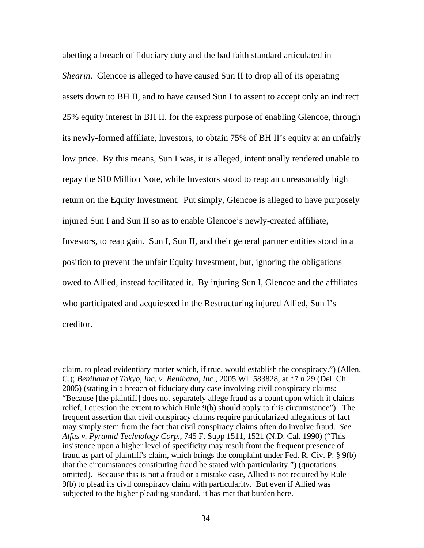abetting a breach of fiduciary duty and the bad faith standard articulated in *Shearin*. Glencoe is alleged to have caused Sun II to drop all of its operating assets down to BH II, and to have caused Sun I to assent to accept only an indirect 25% equity interest in BH II, for the express purpose of enabling Glencoe, through its newly-formed affiliate, Investors, to obtain 75% of BH II's equity at an unfairly low price. By this means, Sun I was, it is alleged, intentionally rendered unable to repay the \$10 Million Note, while Investors stood to reap an unreasonably high return on the Equity Investment. Put simply, Glencoe is alleged to have purposely injured Sun I and Sun II so as to enable Glencoe's newly-created affiliate, Investors, to reap gain. Sun I, Sun II, and their general partner entities stood in a position to prevent the unfair Equity Investment, but, ignoring the obligations owed to Allied, instead facilitated it. By injuring Sun I, Glencoe and the affiliates who participated and acquiesced in the Restructuring injured Allied, Sun I's creditor.

claim, to plead evidentiary matter which, if true, would establish the conspiracy.") (Allen, C.); *Benihana of Tokyo, Inc. v. Benihana, Inc.,* 2005 WL 583828, at \*7 n.29 (Del. Ch. 2005) (stating in a breach of fiduciary duty case involving civil conspiracy claims: "Because [the plaintiff] does not separately allege fraud as a count upon which it claims relief, I question the extent to which Rule 9(b) should apply to this circumstance"). The frequent assertion that civil conspiracy claims require particularized allegations of fact may simply stem from the fact that civil conspiracy claims often do involve fraud. *See Alfus v. Pyramid Technology Corp.*, 745 F. Supp 1511, 1521 (N.D. Cal. 1990) ("This insistence upon a higher level of specificity may result from the frequent presence of fraud as part of plaintiff's claim, which brings the complaint under Fed. R. Civ. P. § 9(b) that the circumstances constituting fraud be stated with particularity.") (quotations omitted). Because this is not a fraud or a mistake case, Allied is not required by Rule 9(b) to plead its civil conspiracy claim with particularity. But even if Allied was subjected to the higher pleading standard, it has met that burden here.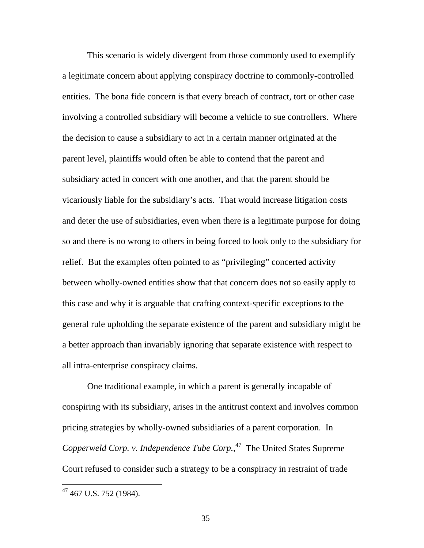This scenario is widely divergent from those commonly used to exemplify a legitimate concern about applying conspiracy doctrine to commonly-controlled entities. The bona fide concern is that every breach of contract, tort or other case involving a controlled subsidiary will become a vehicle to sue controllers. Where the decision to cause a subsidiary to act in a certain manner originated at the parent level, plaintiffs would often be able to contend that the parent and subsidiary acted in concert with one another, and that the parent should be vicariously liable for the subsidiary's acts. That would increase litigation costs and deter the use of subsidiaries, even when there is a legitimate purpose for doing so and there is no wrong to others in being forced to look only to the subsidiary for relief. But the examples often pointed to as "privileging" concerted activity between wholly-owned entities show that that concern does not so easily apply to this case and why it is arguable that crafting context-specific exceptions to the general rule upholding the separate existence of the parent and subsidiary might be a better approach than invariably ignoring that separate existence with respect to all intra-enterprise conspiracy claims.

One traditional example, in which a parent is generally incapable of conspiring with its subsidiary, arises in the antitrust context and involves common pricing strategies by wholly-owned subsidiaries of a parent corporation. In *Copperweld Corp. v. Independence Tube Corp.*, [47](#page-35-0) The United States Supreme Court refused to consider such a strategy to be a conspiracy in restraint of trade

<span id="page-35-0"></span> $47$  467 U.S. 752 (1984).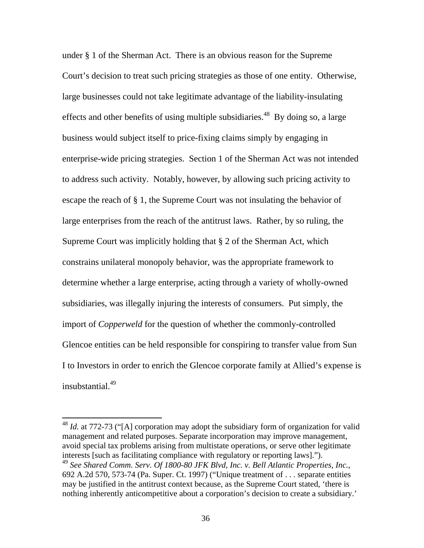under § 1 of the Sherman Act. There is an obvious reason for the Supreme Court's decision to treat such pricing strategies as those of one entity. Otherwise, large businesses could not take legitimate advantage of the liability-insulating effects and other benefits of using multiple subsidiaries.<sup>48</sup> By doing so, a large business would subject itself to price-fixing claims simply by engaging in enterprise-wide pricing strategies. Section 1 of the Sherman Act was not intended to address such activity. Notably, however, by allowing such pricing activity to escape the reach of § 1, the Supreme Court was not insulating the behavior of large enterprises from the reach of the antitrust laws. Rather, by so ruling, the Supreme Court was implicitly holding that § 2 of the Sherman Act, which constrains unilateral monopoly behavior, was the appropriate framework to determine whether a large enterprise, acting through a variety of wholly-owned subsidiaries, was illegally injuring the interests of consumers. Put simply, the import of *Copperweld* for the question of whether the commonly-controlled Glencoe entities can be held responsible for conspiring to transfer value from Sun I to Investors in order to enrich the Glencoe corporate family at Allied's expense is insubstantial.<sup>49</sup>

<span id="page-36-1"></span><span id="page-36-0"></span><sup>&</sup>lt;sup>48</sup> *Id.* at 772-73 ("[A] corporation may adopt the subsidiary form of organization for valid management and related purposes. Separate incorporation may improve management, avoid special tax problems arising from multistate operations, or serve other legitimate interests [such as facilitating compliance with regulatory or reporting laws]."). <sup>49</sup> *See Shared Comm. Serv. Of 1800-80 JFK Blvd, Inc. v. Bell Atlantic Properties, Inc.*, 692 A.2d 570, 573-74 (Pa. Super. Ct. 1997) ("Unique treatment of . . . separate entities may be justified in the antitrust context because, as the Supreme Court stated, 'there is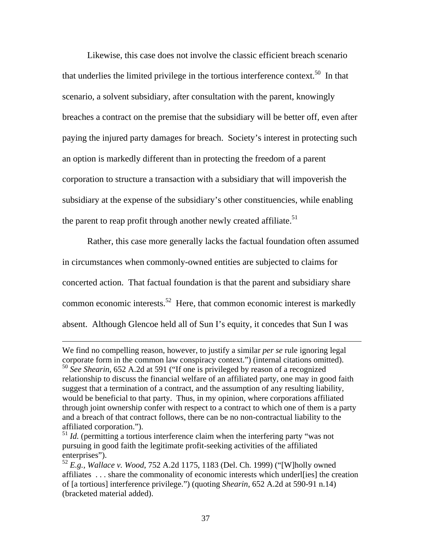Likewise, this case does not involve the classic efficient breach scenario that underlies the limited privilege in the tortious interference context.<sup>50</sup> In that scenario, a solvent subsidiary, after consultation with the parent, knowingly breaches a contract on the premise that the subsidiary will be better off, even after paying the injured party damages for breach. Society's interest in protecting such an option is markedly different than in protecting the freedom of a parent corporation to structure a transaction with a subsidiary that will impoverish the subsidiary at the expense of the subsidiary's other constituencies, while enabling the parent to reap profit through another newly created affiliate.<sup>51</sup>

Rather, this case more generally lacks the factual foundation often assumed in circumstances when commonly-owned entities are subjected to claims for concerted action. That factual foundation is that the parent and subsidiary share common economic interests.<sup>52</sup> Here, that common economic interest is markedly absent. Although Glencoe held all of Sun I's equity, it concedes that Sun I was

We find no compelling reason, however, to justify a similar *per se* rule ignoring legal corporate form in the common law conspiracy context.") (internal citations omitted).

<span id="page-37-0"></span><sup>50</sup> *See Shearin*, 652 A.2d at 591 ("If one is privileged by reason of a recognized relationship to discuss the financial welfare of an affiliated party, one may in good faith suggest that a termination of a contract, and the assumption of any resulting liability, would be beneficial to that party. Thus, in my opinion, where corporations affiliated through joint ownership confer with respect to a contract to which one of them is a party and a breach of that contract follows, there can be no non-contractual liability to the affiliated corporation.").

<span id="page-37-1"></span><sup>&</sup>lt;sup>51</sup> *Id.* (permitting a tortious interference claim when the interfering party "was not pursuing in good faith the legitimate profit-seeking activities of the affiliated enterprises").

<span id="page-37-2"></span><sup>52</sup> *E.g., Wallace v. Wood*, 752 A.2d 1175, 1183 (Del. Ch. 1999) ("[W]holly owned affiliates . . . share the commonality of economic interests which underl[ies] the creation of [a tortious] interference privilege.") (quoting *Shearin*, 652 A.2d at 590-91 n.14) (bracketed material added).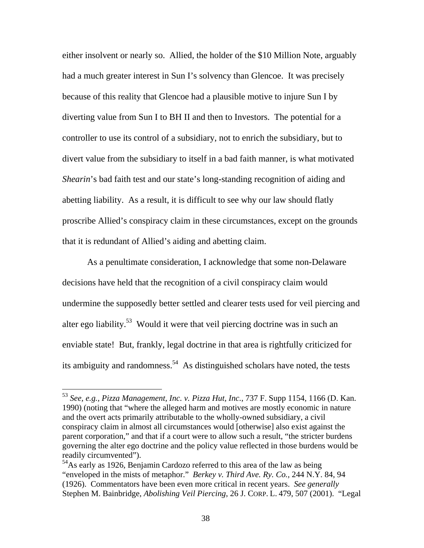either insolvent or nearly so. Allied, the holder of the \$10 Million Note, arguably had a much greater interest in Sun I's solvency than Glencoe. It was precisely because of this reality that Glencoe had a plausible motive to injure Sun I by diverting value from Sun I to BH II and then to Investors. The potential for a controller to use its control of a subsidiary, not to enrich the subsidiary, but to divert value from the subsidiary to itself in a bad faith manner, is what motivated *Shearin*'s bad faith test and our state's long-standing recognition of aiding and abetting liability. As a result, it is difficult to see why our law should flatly proscribe Allied's conspiracy claim in these circumstances, except on the grounds that it is redundant of Allied's aiding and abetting claim.

As a penultimate consideration, I acknowledge that some non-Delaware decisions have held that the recognition of a civil conspiracy claim would undermine the supposedly better settled and clearer tests used for veil piercing and alter ego liability.<sup>53</sup> Would it were that veil piercing doctrine was in such an enviable state! But, frankly, legal doctrine in that area is rightfully criticized for its ambiguity and randomness.<sup>54</sup> As distinguished scholars have noted, the tests

<span id="page-38-0"></span><sup>53</sup> *See, e.g., Pizza Management, Inc. v. Pizza Hut, Inc.*, 737 F. Supp 1154, 1166 (D. Kan. 1990) (noting that "where the alleged harm and motives are mostly economic in nature and the overt acts primarily attributable to the wholly-owned subsidiary, a civil conspiracy claim in almost all circumstances would [otherwise] also exist against the parent corporation," and that if a court were to allow such a result, "the stricter burdens governing the alter ego doctrine and the policy value reflected in those burdens would be readily circumvented").

<span id="page-38-1"></span><sup>&</sup>lt;sup>54</sup>As early as 1926, Benjamin Cardozo referred to this area of the law as being "enveloped in the mists of metaphor." *Berkey v. Third Ave. Ry. Co.,* 244 N.Y. 84, 94 (1926). Commentators have been even more critical in recent years. *See generally*  Stephen M. Bainbridge, *Abolishing Veil Piercing*, 26 J. CORP. L. 479, 507 (2001). "Legal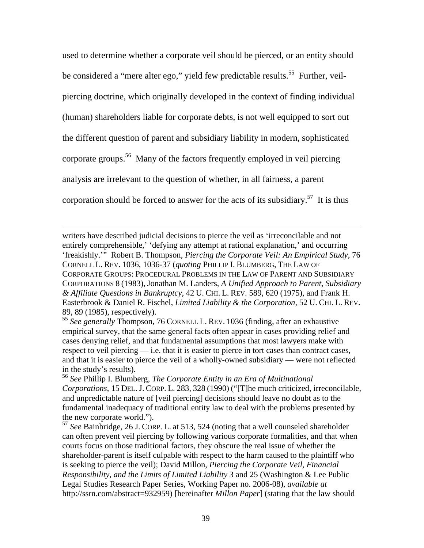used to determine whether a corporate veil should be pierced, or an entity should be considered a "mere alter ego," yield few predictable results.<sup>55</sup> Further, veilpiercing doctrine, which originally developed in the context of finding individual (human) shareholders liable for corporate debts, is not well equipped to sort out the different question of parent and subsidiary liability in modern, sophisticated corporate groups.[56](#page-39-1) Many of the factors frequently employed in veil piercing analysis are irrelevant to the question of whether, in all fairness, a parent corporation should be forced to answer for the acts of its subsidiary.<sup>57</sup> It is thus

writers have described judicial decisions to pierce the veil as 'irreconcilable and not entirely comprehensible,' 'defying any attempt at rational explanation,' and occurring 'freakishly.'" Robert B. Thompson, *Piercing the Corporate Veil: An Empirical Study*, 76 CORNELL L. REV. 1036, 1036-37 (*quoting* PHILLIP I. BLUMBERG, THE LAW OF CORPORATE GROUPS: PROCEDURAL PROBLEMS IN THE LAW OF PARENT AND SUBSIDIARY CORPORATIONS 8 (1983), Jonathan M. Landers, *A Unified Approach to Parent, Subsidiary & Affiliate Questions in Bankruptcy*, 42 U. CHI. L. REV. 589, 620 (1975), and Frank H. Easterbrook & Daniel R. Fischel, *Limited Liability & the Corporation*, 52 U. CHI. L. REV. 89, 89 (1985), respectively).

 $\overline{a}$ 

<span id="page-39-0"></span><sup>55</sup> *See generally* Thompson, 76 CORNELL L. REV. 1036 (finding, after an exhaustive empirical survey, that the same general facts often appear in cases providing relief and cases denying relief, and that fundamental assumptions that most lawyers make with respect to veil piercing — i.e. that it is easier to pierce in tort cases than contract cases, and that it is easier to pierce the veil of a wholly-owned subsidiary — were not reflected in the study's results).

<span id="page-39-1"></span><sup>56</sup> *See* Phillip I. Blumberg, *The Corporate Entity in an Era of Multinational Corporations*, 15 DEL. J. CORP. L. 283, 328 (1990) ("[T]he much criticized, irreconcilable, and unpredictable nature of [veil piercing] decisions should leave no doubt as to the fundamental inadequacy of traditional entity law to deal with the problems presented by the new corporate world.").

<span id="page-39-2"></span><sup>57</sup> *See* Bainbridge, 26 J. CORP. L. at 513, 524 (noting that a well counseled shareholder can often prevent veil piercing by following various corporate formalities, and that when courts focus on those traditional factors, they obscure the real issue of whether the shareholder-parent is itself culpable with respect to the harm caused to the plaintiff who is seeking to pierce the veil); David Millon, *Piercing the Corporate Veil, Financial Responsibility, and the Limits of Limited Liability* 3 and 25 (Washington & Lee Public Legal Studies Research Paper Series, Working Paper no. 2006-08), *available at* <http://ssrn.com/abstract=932959>) [hereinafter *Millon Paper*] (stating that the law should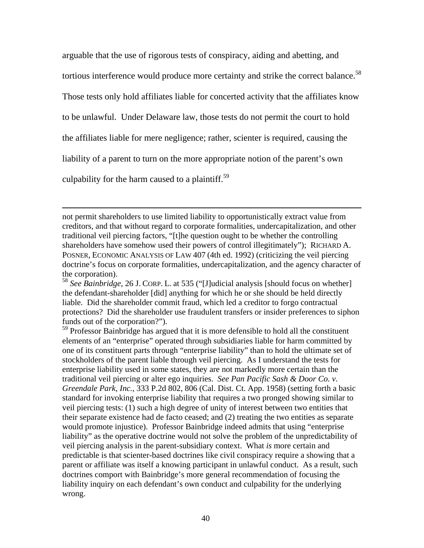arguable that the use of rigorous tests of conspiracy, aiding and abetting, and tortious interference would produce more certainty and strike the correct balance.<sup>58</sup> Those tests only hold affiliates liable for concerted activity that the affiliates know to be unlawful. Under Delaware law, those tests do not permit the court to hold the affiliates liable for mere negligence; rather, scienter is required, causing the liability of a parent to turn on the more appropriate notion of the parent's own culpability for the harm caused to a plaintiff. $59$ 

 $\overline{a}$ 

<span id="page-40-1"></span><sup>59</sup> Professor Bainbridge has argued that it is more defensible to hold all the constituent elements of an "enterprise" operated through subsidiaries liable for harm committed by one of its constituent parts through "enterprise liability" than to hold the ultimate set of stockholders of the parent liable through veil piercing. As I understand the tests for enterprise liability used in some states, they are not markedly more certain than the traditional veil piercing or alter ego inquiries. *See Pan Pacific Sash & Door Co. v. Greendale Park, Inc.*, 333 P.2d 802, 806 (Cal. Dist. Ct. App. 1958) (setting forth a basic standard for invoking enterprise liability that requires a two pronged showing similar to veil piercing tests: (1) such a high degree of unity of interest between two entities that their separate existence had de facto ceased; and (2) treating the two entities as separate would promote injustice). Professor Bainbridge indeed admits that using "enterprise liability" as the operative doctrine would not solve the problem of the unpredictability of veil piercing analysis in the parent-subsidiary context. What *is* more certain and predictable is that scienter-based doctrines like civil conspiracy require a showing that a parent or affiliate was itself a knowing participant in unlawful conduct. As a result, such doctrines comport with Bainbridge's more general recommendation of focusing the liability inquiry on each defendant's own conduct and culpability for the underlying wrong.

not permit shareholders to use limited liability to opportunistically extract value from creditors, and that without regard to corporate formalities, undercapitalization, and other traditional veil piercing factors, "[t]he question ought to be whether the controlling shareholders have somehow used their powers of control illegitimately"); RICHARD A. POSNER, ECONOMIC ANALYSIS OF LAW 407 (4th ed. 1992) (criticizing the veil piercing doctrine's focus on corporate formalities, undercapitalization, and the agency character of the corporation).

<span id="page-40-0"></span><sup>58</sup> *See Bainbridge*, 26 J. CORP. L. at 535 ("[J]udicial analysis [should focus on whether] the defendant-shareholder [did] anything for which he or she should be held directly liable. Did the shareholder commit fraud, which led a creditor to forgo contractual protections? Did the shareholder use fraudulent transfers or insider preferences to siphon funds out of the corporation?").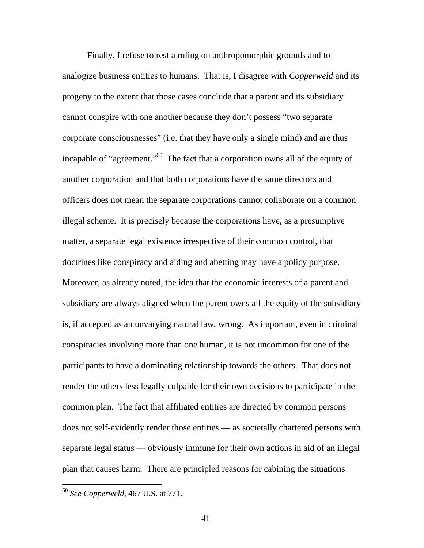Finally, I refuse to rest a ruling on anthropomorphic grounds and to analogize business entities to humans. That is, I disagree with *Copperweld* and its progeny to the extent that those cases conclude that a parent and its subsidiary cannot conspire with one another because they don't possess "two separate corporate consciousnesses" (i.e. that they have only a single mind) and are thus incapable of "agreement."<sup>60</sup> The fact that a corporation owns all of the equity of another corporation and that both corporations have the same directors and officers does not mean the separate corporations cannot collaborate on a common illegal scheme. It is precisely because the corporations have, as a presumptive matter, a separate legal existence irrespective of their common control, that doctrines like conspiracy and aiding and abetting may have a policy purpose. Moreover, as already noted, the idea that the economic interests of a parent and subsidiary are always aligned when the parent owns all the equity of the subsidiary is, if accepted as an unvarying natural law, wrong. As important, even in criminal conspiracies involving more than one human, it is not uncommon for one of the participants to have a dominating relationship towards the others. That does not render the others less legally culpable for their own decisions to participate in the common plan. The fact that affiliated entities are directed by common persons does not self-evidently render those entities — as societally chartered persons with separate legal status — obviously immune for their own actions in aid of an illegal plan that causes harm. There are principled reasons for cabining the situations

<span id="page-41-0"></span><sup>60</sup> *See Copperweld*, 467 U.S. at 771.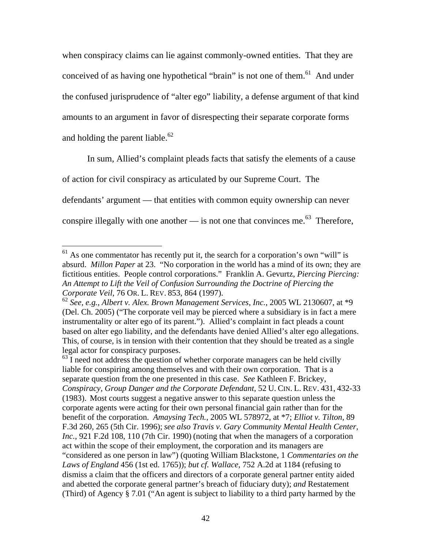when conspiracy claims can lie against commonly-owned entities. That they are conceived of as having one hypothetical "brain" is not one of them.<sup>61</sup> And under the confused jurisprudence of "alter ego" liability, a defense argument of that kind amounts to an argument in favor of disrespecting their separate corporate forms and holding the parent liable. $62$ 

In sum, Allied's complaint pleads facts that satisfy the elements of a cause of action for civil conspiracy as articulated by our Supreme Court. The defendants' argument — that entities with common equity ownership can never conspire illegally with one another — is not one that convinces me.<sup>63</sup> Therefore,

<span id="page-42-0"></span> $61$  As one commentator has recently put it, the search for a corporation's own "will" is absurd. *Millon Paper* at 23. "No corporation in the world has a mind of its own; they are fictitious entities. People control corporations."Franklin A. Gevurtz, *Piercing Piercing: An Attempt to Lift the Veil of Confusion Surrounding the Doctrine of Piercing the Corporate Veil*, 76 OR. L. REV. 853, 864 (1997).

<span id="page-42-1"></span><sup>62</sup> *See, e.g., Albert v. Alex. Brown Management Services, Inc.*, 2005 WL 2130607, at \*9 (Del. Ch. 2005) ("The corporate veil may be pierced where a subsidiary is in fact a mere instrumentality or alter ego of its parent."). Allied's complaint in fact pleads a count based on alter ego liability, and the defendants have denied Allied's alter ego allegations. This, of course, is in tension with their contention that they should be treated as a single legal actor for conspiracy purposes.

<span id="page-42-2"></span> $63$  I need not address the question of whether corporate managers can be held civilly liable for conspiring among themselves and with their own corporation. That is a separate question from the one presented in this case. *See* Kathleen F. Brickey, *Conspiracy, Group Danger and the Corporate Defendant,* 52 U. CIN. L. REV. 431, 432-33 (1983). Most courts suggest a negative answer to this separate question unless the corporate agents were acting for their own personal financial gain rather than for the benefit of the corporation. *Amaysing Tech.*, 2005 WL 578972, at \*7; *Elliot v. Tilton*, 89 F.3d 260, 265 (5th Cir. 1996); *see also Travis v. Gary Community Mental Health Center, Inc.*, 921 F.2d 108, 110 (7th Cir. 1990) (noting that when the managers of a corporation act within the scope of their employment, the corporation and its managers are "considered as one person in law") (quoting William Blackstone, 1 *Commentaries on the Laws of England* 456 (1st ed. 1765)); *but cf. Wallace*, 752 A.2d at 1184 (refusing to dismiss a claim that the officers and directors of a corporate general partner entity aided and abetted the corporate general partner's breach of fiduciary duty); *and* Restatement (Third) of Agency § 7.01 ("An agent is subject to liability to a third party harmed by the